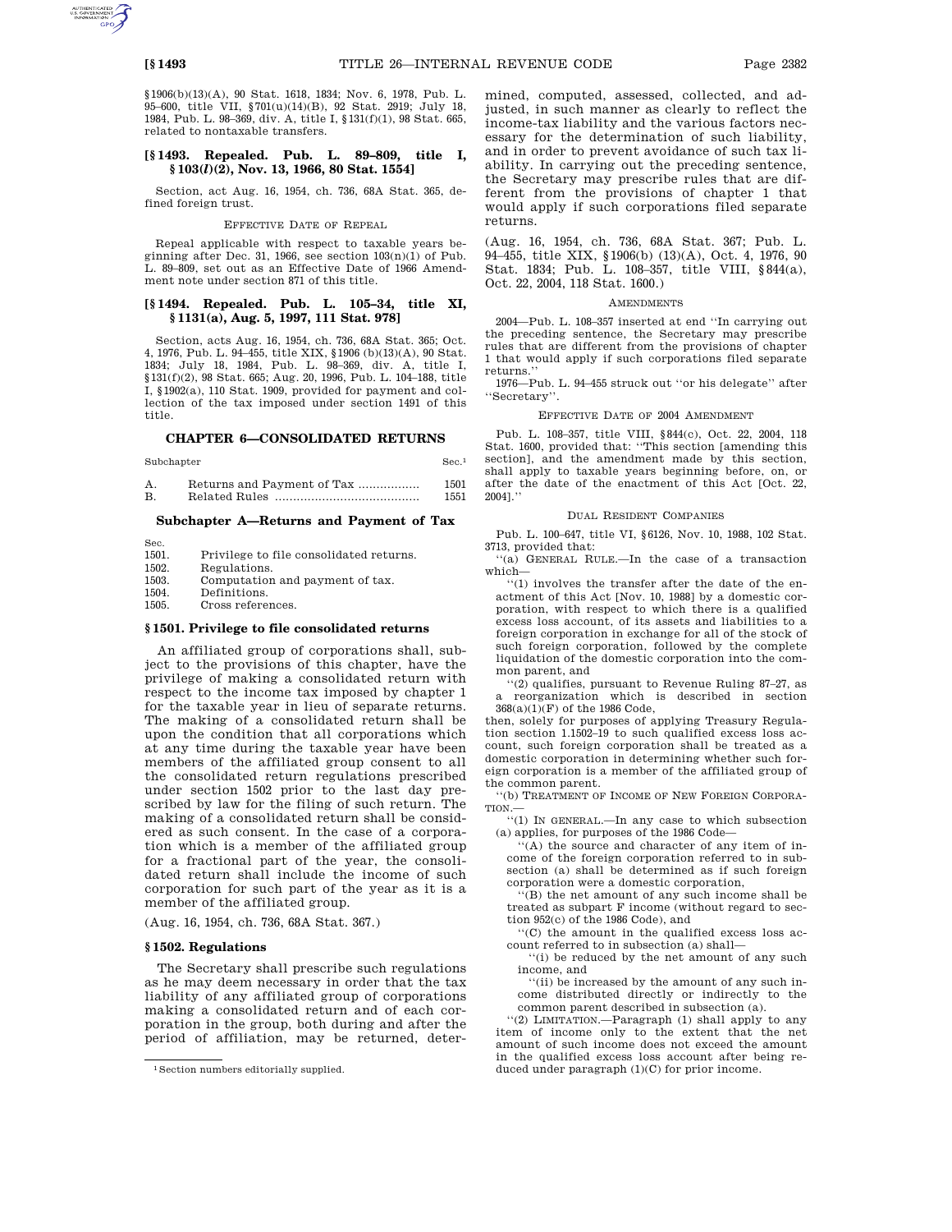§1906(b)(13)(A), 90 Stat. 1618, 1834; Nov. 6, 1978, Pub. L. 95–600, title VII, §701(u)(14)(B), 92 Stat. 2919; July 18, 1984, Pub. L. 98–369, div. A, title I, §131(f)(1), 98 Stat. 665, related to nontaxable transfers.

### **[§ 1493. Repealed. Pub. L. 89–809, title I, § 103(***l***)(2), Nov. 13, 1966, 80 Stat. 1554]**

Section, act Aug. 16, 1954, ch. 736, 68A Stat. 365, defined foreign trust.

#### EFFECTIVE DATE OF REPEAL

Repeal applicable with respect to taxable years beginning after Dec. 31, 1966, see section 103(n)(1) of Pub. L. 89–809, set out as an Effective Date of 1966 Amendment note under section 871 of this title.

### **[§ 1494. Repealed. Pub. L. 105–34, title XI, § 1131(a), Aug. 5, 1997, 111 Stat. 978]**

Section, acts Aug. 16, 1954, ch. 736, 68A Stat. 365; Oct. 4, 1976, Pub. L. 94–455, title XIX, §1906 (b)(13)(A), 90 Stat. 1834; July 18, 1984, Pub. L. 98–369, div. A, title I, §131(f)(2), 98 Stat. 665; Aug. 20, 1996, Pub. L. 104–188, title I, §1902(a), 110 Stat. 1909, provided for payment and collection of the tax imposed under section 1491 of this title.

### **CHAPTER 6—CONSOLIDATED RETURNS**

Subchapter Sec.<sup>1</sup>

|    | Returns and Payment of Tax | 1501 |
|----|----------------------------|------|
| B. |                            | 1551 |

### **Subchapter A—Returns and Payment of Tax**

Sec.<br>1501.

# 1501. Privilege to file consolidated returns.<br>1502. Regulations.

Regulations.

1503. Computation and payment of tax.

1504. Definitions.<br>1505. Cross refere Cross references.

#### **§ 1501. Privilege to file consolidated returns**

An affiliated group of corporations shall, subject to the provisions of this chapter, have the privilege of making a consolidated return with respect to the income tax imposed by chapter 1 for the taxable year in lieu of separate returns. The making of a consolidated return shall be upon the condition that all corporations which at any time during the taxable year have been members of the affiliated group consent to all the consolidated return regulations prescribed under section 1502 prior to the last day prescribed by law for the filing of such return. The making of a consolidated return shall be considered as such consent. In the case of a corporation which is a member of the affiliated group for a fractional part of the year, the consolidated return shall include the income of such corporation for such part of the year as it is a member of the affiliated group.

(Aug. 16, 1954, ch. 736, 68A Stat. 367.)

#### **§ 1502. Regulations**

The Secretary shall prescribe such regulations as he may deem necessary in order that the tax liability of any affiliated group of corporations making a consolidated return and of each corporation in the group, both during and after the period of affiliation, may be returned, determined, computed, assessed, collected, and adjusted, in such manner as clearly to reflect the income-tax liability and the various factors necessary for the determination of such liability, and in order to prevent avoidance of such tax liability. In carrying out the preceding sentence, the Secretary may prescribe rules that are different from the provisions of chapter 1 that would apply if such corporations filed separate returns.

(Aug. 16, 1954, ch. 736, 68A Stat. 367; Pub. L. 94–455, title XIX, §1906(b) (13)(A), Oct. 4, 1976, 90 Stat. 1834; Pub. L. 108–357, title VIII, §844(a), Oct. 22, 2004, 118 Stat. 1600.)

#### **AMENDMENTS**

2004—Pub. L. 108–357 inserted at end ''In carrying out the preceding sentence, the Secretary may prescribe rules that are different from the provisions of chapter 1 that would apply if such corporations filed separate returns.

1976—Pub. L. 94–455 struck out ''or his delegate'' after ''Secretary''.

#### EFFECTIVE DATE OF 2004 AMENDMENT

Pub. L. 108–357, title VIII, §844(c), Oct. 22, 2004, 118 Stat. 1600, provided that: ''This section [amending this section], and the amendment made by this section, shall apply to taxable years beginning before, on, or after the date of the enactment of this Act [Oct. 22, 2004].''

#### DUAL RESIDENT COMPANIES

Pub. L. 100–647, title VI, §6126, Nov. 10, 1988, 102 Stat. 3713, provided that:

''(a) GENERAL RULE.—In the case of a transaction which—

''(1) involves the transfer after the date of the enactment of this Act [Nov. 10, 1988] by a domestic corporation, with respect to which there is a qualified excess loss account, of its assets and liabilities to a foreign corporation in exchange for all of the stock of such foreign corporation, followed by the complete liquidation of the domestic corporation into the common parent, and

''(2) qualifies, pursuant to Revenue Ruling 87–27, as a reorganization which is described in section  $368(a)(1)(\mathrm{F})$  of the  $1986$  Code,

then, solely for purposes of applying Treasury Regulation section 1.1502–19 to such qualified excess loss account, such foreign corporation shall be treated as a domestic corporation in determining whether such foreign corporation is a member of the affiliated group of the common parent.

''(b) TREATMENT OF INCOME OF NEW FOREIGN CORPORA-TION.—

''(1) IN GENERAL.—In any case to which subsection (a) applies, for purposes of the 1986 Code—

'(A) the source and character of any item of income of the foreign corporation referred to in subsection (a) shall be determined as if such foreign corporation were a domestic corporation,

'(B) the net amount of any such income shall be treated as subpart F income (without regard to section 952(c) of the 1986 Code), and

''(C) the amount in the qualified excess loss account referred to in subsection (a) shall—

''(i) be reduced by the net amount of any such income, and

''(ii) be increased by the amount of any such income distributed directly or indirectly to the common parent described in subsection (a).

''(2) LIMITATION.—Paragraph (1) shall apply to any item of income only to the extent that the net amount of such income does not exceed the amount in the qualified excess loss account after being reduced under paragraph (1)(C) for prior income.

<sup>1</sup>Section numbers editorially supplied.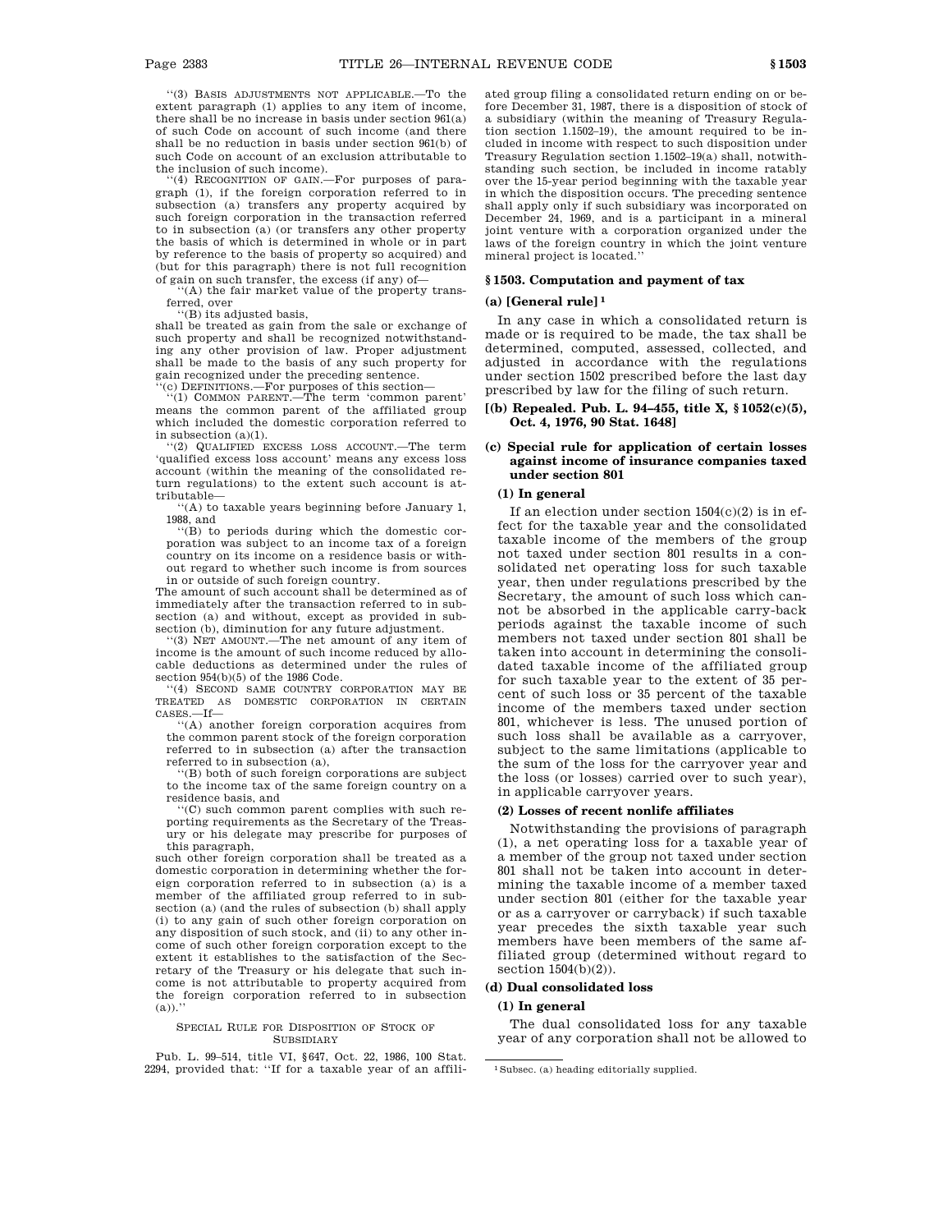''(3) BASIS ADJUSTMENTS NOT APPLICABLE.—To the extent paragraph (1) applies to any item of income, there shall be no increase in basis under section 961(a) of such Code on account of such income (and there shall be no reduction in basis under section 961(b) of such Code on account of an exclusion attributable to the inclusion of such income).

'(4) RECOGNITION OF GAIN.-For purposes of paragraph (1), if the foreign corporation referred to in subsection (a) transfers any property acquired by such foreign corporation in the transaction referred to in subsection (a) (or transfers any other property the basis of which is determined in whole or in part by reference to the basis of property so acquired) and (but for this paragraph) there is not full recognition of gain on such transfer, the excess (if any) of—

''(A) the fair market value of the property transferred, over

''(B) its adjusted basis, shall be treated as gain from the sale or exchange of such property and shall be recognized notwithstanding any other provision of law. Proper adjustment shall be made to the basis of any such property for gain recognized under the preceding sentence.

''(c) DEFINITIONS.—For purposes of this section— ''(1) COMMON PARENT.—The term 'common parent'

means the common parent of the affiliated group which included the domestic corporation referred to in subsection (a)(1).

''(2) QUALIFIED EXCESS LOSS ACCOUNT.—The term 'qualified excess loss account' means any excess loss account (within the meaning of the consolidated return regulations) to the extent such account is attributable—

''(A) to taxable years beginning before January 1, 1988, and

''(B) to periods during which the domestic corporation was subject to an income tax of a foreign country on its income on a residence basis or without regard to whether such income is from sources in or outside of such foreign country.

The amount of such account shall be determined as of immediately after the transaction referred to in subsection (a) and without, except as provided in subsection (b), diminution for any future adjustment. ''(3) NET AMOUNT.—The net amount of any item of

income is the amount of such income reduced by allocable deductions as determined under the rules of section 954(b)(5) of the 1986 Code.

''(4) SECOND SAME COUNTRY CORPORATION MAY BE TREATED AS DOMESTIC CORPORATION IN CERTAIN CASES.—If—

''(A) another foreign corporation acquires from the common parent stock of the foreign corporation referred to in subsection (a) after the transaction referred to in subsection (a),

 $'(B)$  both of such foreign corporations are subject to the income tax of the same foreign country on a residence basis, and

 $f(C)$  such common parent complies with such reporting requirements as the Secretary of the Treasury or his delegate may prescribe for purposes of this paragraph,

such other foreign corporation shall be treated as a domestic corporation in determining whether the foreign corporation referred to in subsection (a) is a member of the affiliated group referred to in subsection (a) (and the rules of subsection (b) shall apply (i) to any gain of such other foreign corporation on any disposition of such stock, and (ii) to any other income of such other foreign corporation except to the extent it establishes to the satisfaction of the Secretary of the Treasury or his delegate that such income is not attributable to property acquired from the foreign corporation referred to in subsection  $(a))$ ."

#### SPECIAL RULE FOR DISPOSITION OF STOCK OF SUBSIDIARY

Pub. L. 99–514, title VI, §647, Oct. 22, 1986, 100 Stat. 2294, provided that: ''If for a taxable year of an affiliated group filing a consolidated return ending on or before December 31, 1987, there is a disposition of stock of a subsidiary (within the meaning of Treasury Regulation section 1.1502–19), the amount required to be included in income with respect to such disposition under Treasury Regulation section 1.1502–19(a) shall, notwithstanding such section, be included in income ratably over the 15-year period beginning with the taxable year in which the disposition occurs. The preceding sentence shall apply only if such subsidiary was incorporated on December 24, 1969, and is a participant in a mineral joint venture with a corporation organized under the laws of the foreign country in which the joint venture mineral project is located.''

### **§ 1503. Computation and payment of tax**

#### **(a) [General rule] 1**

In any case in which a consolidated return is made or is required to be made, the tax shall be determined, computed, assessed, collected, and adjusted in accordance with the regulations under section 1502 prescribed before the last day prescribed by law for the filing of such return.

### **[(b) Repealed. Pub. L. 94–455, title X, § 1052(c)(5), Oct. 4, 1976, 90 Stat. 1648]**

### **(c) Special rule for application of certain losses against income of insurance companies taxed under section 801**

### **(1) In general**

If an election under section 1504(c)(2) is in effect for the taxable year and the consolidated taxable income of the members of the group not taxed under section 801 results in a consolidated net operating loss for such taxable year, then under regulations prescribed by the Secretary, the amount of such loss which cannot be absorbed in the applicable carry-back periods against the taxable income of such members not taxed under section 801 shall be taken into account in determining the consolidated taxable income of the affiliated group for such taxable year to the extent of 35 percent of such loss or 35 percent of the taxable income of the members taxed under section 801, whichever is less. The unused portion of such loss shall be available as a carryover, subject to the same limitations (applicable to the sum of the loss for the carryover year and the loss (or losses) carried over to such year), in applicable carryover years.

### **(2) Losses of recent nonlife affiliates**

Notwithstanding the provisions of paragraph (1), a net operating loss for a taxable year of a member of the group not taxed under section 801 shall not be taken into account in determining the taxable income of a member taxed under section 801 (either for the taxable year or as a carryover or carryback) if such taxable year precedes the sixth taxable year such members have been members of the same affiliated group (determined without regard to section  $1504(b)(2)$ ).

#### **(d) Dual consolidated loss**

### **(1) In general**

The dual consolidated loss for any taxable year of any corporation shall not be allowed to

<sup>1</sup>Subsec. (a) heading editorially supplied.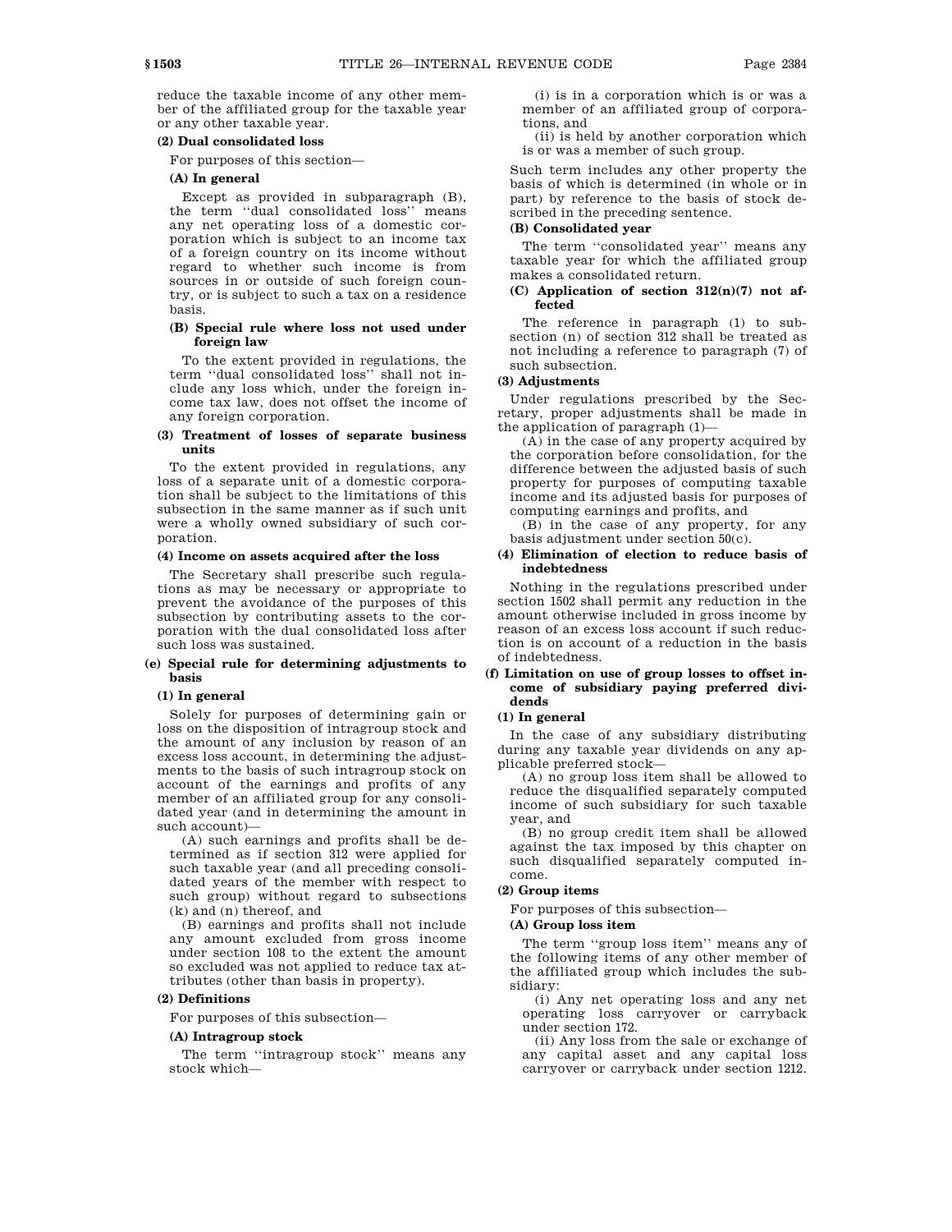reduce the taxable income of any other member of the affiliated group for the taxable year or any other taxable year.

### **(2) Dual consolidated loss**

For purposes of this section—

### **(A) In general**

Except as provided in subparagraph (B), the term ''dual consolidated loss'' means any net operating loss of a domestic corporation which is subject to an income tax of a foreign country on its income without regard to whether such income is from sources in or outside of such foreign country, or is subject to such a tax on a residence basis.

#### **(B) Special rule where loss not used under foreign law**

To the extent provided in regulations, the term ''dual consolidated loss'' shall not include any loss which, under the foreign income tax law, does not offset the income of any foreign corporation.

### **(3) Treatment of losses of separate business units**

To the extent provided in regulations, any loss of a separate unit of a domestic corporation shall be subject to the limitations of this subsection in the same manner as if such unit were a wholly owned subsidiary of such corporation.

### **(4) Income on assets acquired after the loss**

The Secretary shall prescribe such regulations as may be necessary or appropriate to prevent the avoidance of the purposes of this subsection by contributing assets to the corporation with the dual consolidated loss after such loss was sustained.

### **(e) Special rule for determining adjustments to basis**

#### **(1) In general**

Solely for purposes of determining gain or loss on the disposition of intragroup stock and the amount of any inclusion by reason of an excess loss account, in determining the adjustments to the basis of such intragroup stock on account of the earnings and profits of any member of an affiliated group for any consolidated year (and in determining the amount in such account)—

(A) such earnings and profits shall be determined as if section 312 were applied for such taxable year (and all preceding consolidated years of the member with respect to such group) without regard to subsections (k) and (n) thereof, and

(B) earnings and profits shall not include any amount excluded from gross income under section 108 to the extent the amount so excluded was not applied to reduce tax attributes (other than basis in property).

### **(2) Definitions**

For purposes of this subsection—

### **(A) Intragroup stock**

The term ''intragroup stock'' means any stock which—

(i) is in a corporation which is or was a member of an affiliated group of corporations, and

(ii) is held by another corporation which is or was a member of such group.

Such term includes any other property the basis of which is determined (in whole or in part) by reference to the basis of stock described in the preceding sentence.

### **(B) Consolidated year**

The term "consolidated year" means any taxable year for which the affiliated group makes a consolidated return.

### **(C) Application of section 312(n)(7) not affected**

The reference in paragraph (1) to subsection (n) of section 312 shall be treated as not including a reference to paragraph (7) of such subsection.

### **(3) Adjustments**

Under regulations prescribed by the Secretary, proper adjustments shall be made in the application of paragraph (1)—

(A) in the case of any property acquired by the corporation before consolidation, for the difference between the adjusted basis of such property for purposes of computing taxable income and its adjusted basis for purposes of computing earnings and profits, and

(B) in the case of any property, for any basis adjustment under section 50(c).

#### **(4) Elimination of election to reduce basis of indebtedness**

Nothing in the regulations prescribed under section 1502 shall permit any reduction in the amount otherwise included in gross income by reason of an excess loss account if such reduction is on account of a reduction in the basis of indebtedness.

### **(f) Limitation on use of group losses to offset income of subsidiary paying preferred dividends**

#### **(1) In general**

In the case of any subsidiary distributing during any taxable year dividends on any applicable preferred stock—

(A) no group loss item shall be allowed to reduce the disqualified separately computed income of such subsidiary for such taxable year, and

(B) no group credit item shall be allowed against the tax imposed by this chapter on such disqualified separately computed income.

### **(2) Group items**

For purposes of this subsection—

### **(A) Group loss item**

The term ''group loss item'' means any of the following items of any other member of the affiliated group which includes the subsidiary:

(i) Any net operating loss and any net operating loss carryover or carryback under section 172.

(ii) Any loss from the sale or exchange of any capital asset and any capital loss carryover or carryback under section 1212.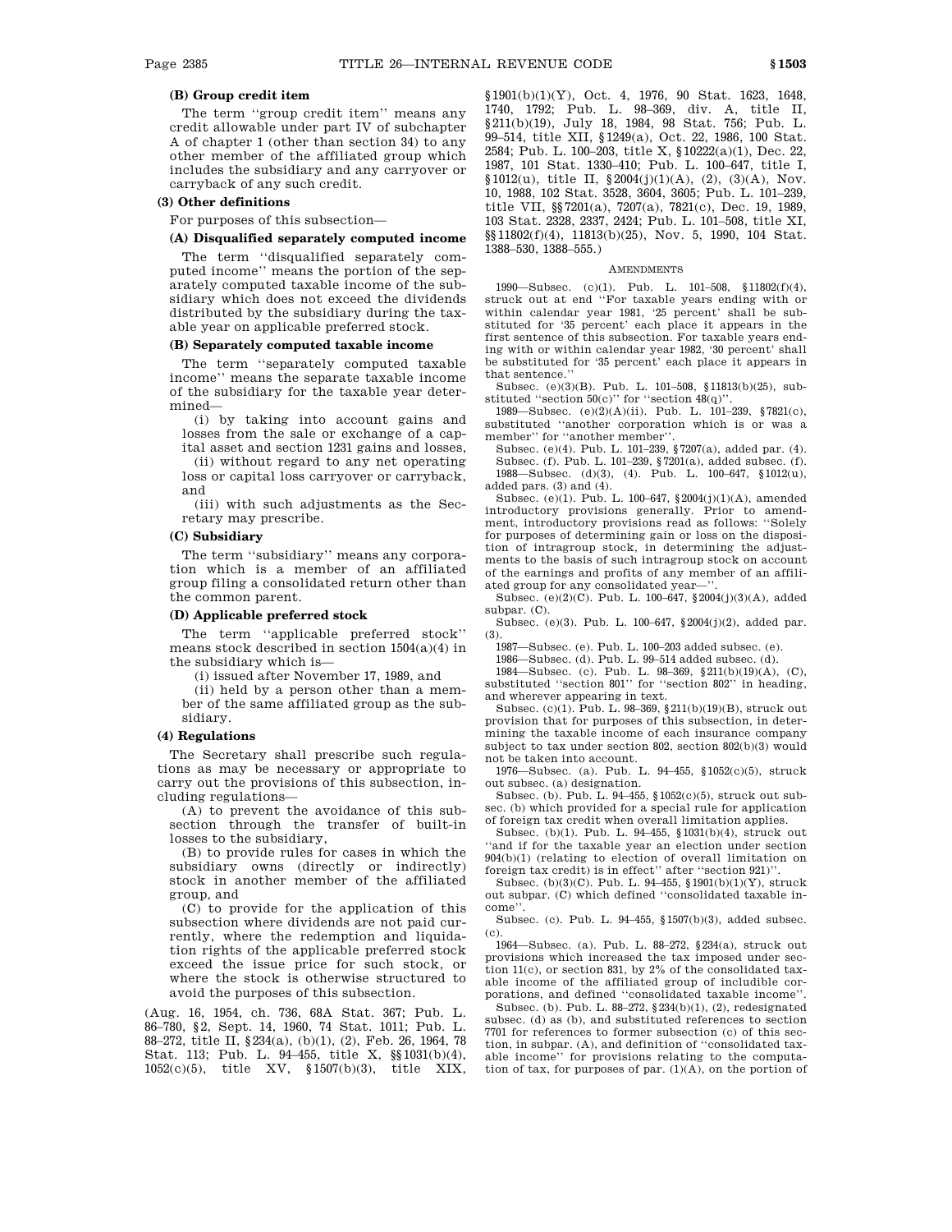### **(B) Group credit item**

The term ''group credit item'' means any credit allowable under part IV of subchapter A of chapter 1 (other than section 34) to any other member of the affiliated group which includes the subsidiary and any carryover or carryback of any such credit.

#### **(3) Other definitions**

For purposes of this subsection—

### **(A) Disqualified separately computed income**

The term ''disqualified separately computed income'' means the portion of the separately computed taxable income of the subsidiary which does not exceed the dividends distributed by the subsidiary during the taxable year on applicable preferred stock.

### **(B) Separately computed taxable income**

The term ''separately computed taxable income'' means the separate taxable income of the subsidiary for the taxable year determined—

(i) by taking into account gains and losses from the sale or exchange of a capital asset and section 1231 gains and losses,

(ii) without regard to any net operating loss or capital loss carryover or carryback, and

(iii) with such adjustments as the Secretary may prescribe.

### **(C) Subsidiary**

The term ''subsidiary'' means any corporation which is a member of an affiliated group filing a consolidated return other than the common parent.

### **(D) Applicable preferred stock**

The term ''applicable preferred stock'' means stock described in section 1504(a)(4) in the subsidiary which is—

(i) issued after November 17, 1989, and

(ii) held by a person other than a member of the same affiliated group as the subsidiary.

### **(4) Regulations**

The Secretary shall prescribe such regulations as may be necessary or appropriate to carry out the provisions of this subsection, including regulations—

(A) to prevent the avoidance of this subsection through the transfer of built-in losses to the subsidiary,

(B) to provide rules for cases in which the subsidiary owns (directly or indirectly) stock in another member of the affiliated group, and

(C) to provide for the application of this subsection where dividends are not paid currently, where the redemption and liquidation rights of the applicable preferred stock exceed the issue price for such stock, or where the stock is otherwise structured to avoid the purposes of this subsection.

(Aug. 16, 1954, ch. 736, 68A Stat. 367; Pub. L. 86–780, §2, Sept. 14, 1960, 74 Stat. 1011; Pub. L. 88–272, title II, §234(a), (b)(1), (2), Feb. 26, 1964, 78 Stat. 113; Pub. L. 94–455, title X, §§1031(b)(4), 1052(c)(5), title XV, §1507(b)(3), title XIX, §1901(b)(1)(Y), Oct. 4, 1976, 90 Stat. 1623, 1648, 1740, 1792; Pub. L. 98–369, div. A, title II, §211(b)(19), July 18, 1984, 98 Stat. 756; Pub. L. 99–514, title XII, §1249(a), Oct. 22, 1986, 100 Stat. 2584; Pub. L. 100–203, title X, §10222(a)(1), Dec. 22, 1987, 101 Stat. 1330–410; Pub. L. 100–647, title I, §1012(u), title II, §2004(j)(1)(A), (2), (3)(A), Nov. 10, 1988, 102 Stat. 3528, 3604, 3605; Pub. L. 101–239, title VII, §§7201(a), 7207(a), 7821(c), Dec. 19, 1989, 103 Stat. 2328, 2337, 2424; Pub. L. 101–508, title XI, §§11802(f)(4), 11813(b)(25), Nov. 5, 1990, 104 Stat. 1388–530, 1388–555.)

#### **AMENDMENTS**

1990—Subsec. (c)(1). Pub. L. 101–508, §11802(f)(4), struck out at end ''For taxable years ending with or within calendar year 1981, '25 percent' shall be substituted for '35 percent' each place it appears in the first sentence of this subsection. For taxable years ending with or within calendar year 1982, '30 percent' shall be substituted for '35 percent' each place it appears in that sentence.''

Subsec. (e)(3)(B). Pub. L. 101–508, §11813(b)(25), substituted "section  $50(c)$ " for "section  $48(q)$ "

1989—Subsec.  $(e)(2)(A)(ii)$ . Pub. L. 101–239, §7821(c), substituted ''another corporation which is or was a member'' for ''another member''.

Subsec. (e)(4). Pub. L. 101–239, §7207(a), added par. (4). Subsec. (f). Pub. L. 101–239, §7201(a), added subsec. (f). 1988—Subsec. (d)(3), (4). Pub. L. 100–647, §1012(u), added pars. (3) and (4).

Subsec. (e)(1). Pub. L. 100–647, §2004(j)(1)(A), amended introductory provisions generally. Prior to amendment, introductory provisions read as follows: ''Solely for purposes of determining gain or loss on the disposition of intragroup stock, in determining the adjustments to the basis of such intragroup stock on account of the earnings and profits of any member of an affiliated group for any consolidated year-

Subsec. (e)(2)(C). Pub. L. 100–647, §2004(j)(3)(A), added subpar. (C).

Subsec. (e)(3). Pub. L. 100–647, §2004(j)(2), added par. (3).

1987—Subsec. (e). Pub. L. 100–203 added subsec. (e).

1986—Subsec. (d). Pub. L. 99–514 added subsec. (d).

1984—Subsec. (c). Pub. L. 98–369, §211(b)(19)(A), (C), substituted ''section 801'' for ''section 802'' in heading, and wherever appearing in text.

Subsec. (c)(1). Pub. L. 98–369, §211(b)(19)(B), struck out provision that for purposes of this subsection, in determining the taxable income of each insurance company subject to tax under section 802, section 802(b)(3) would not be taken into account.

1976—Subsec. (a). Pub. L. 94–455, §1052(c)(5), struck out subsec. (a) designation.

Subsec. (b). Pub. L. 94–455, §1052(c)(5), struck out subsec. (b) which provided for a special rule for application of foreign tax credit when overall limitation applies.

Subsec. (b)(1). Pub. L. 94–455, §1031(b)(4), struck out ''and if for the taxable year an election under section 904(b)(1) (relating to election of overall limitation on foreign tax credit) is in effect'' after ''section 921)''.

Subsec. (b)(3)(C). Pub. L. 94–455, §1901(b)(1)(Y), struck out subpar. (C) which defined ''consolidated taxable income''.

Subsec. (c). Pub. L. 94–455, §1507(b)(3), added subsec.  $\left( \mathrm{c}\right)$ 

1964—Subsec. (a). Pub. L. 88–272, §234(a), struck out provisions which increased the tax imposed under section 11(c), or section 831, by 2% of the consolidated taxable income of the affiliated group of includible corporations, and defined ''consolidated taxable income''.

Subsec. (b). Pub. L. 88–272, §234(b)(1), (2), redesignated subsec. (d) as (b), and substituted references to section 7701 for references to former subsection (c) of this section, in subpar. (A), and definition of ''consolidated taxable income'' for provisions relating to the computation of tax, for purposes of par. (1)(A), on the portion of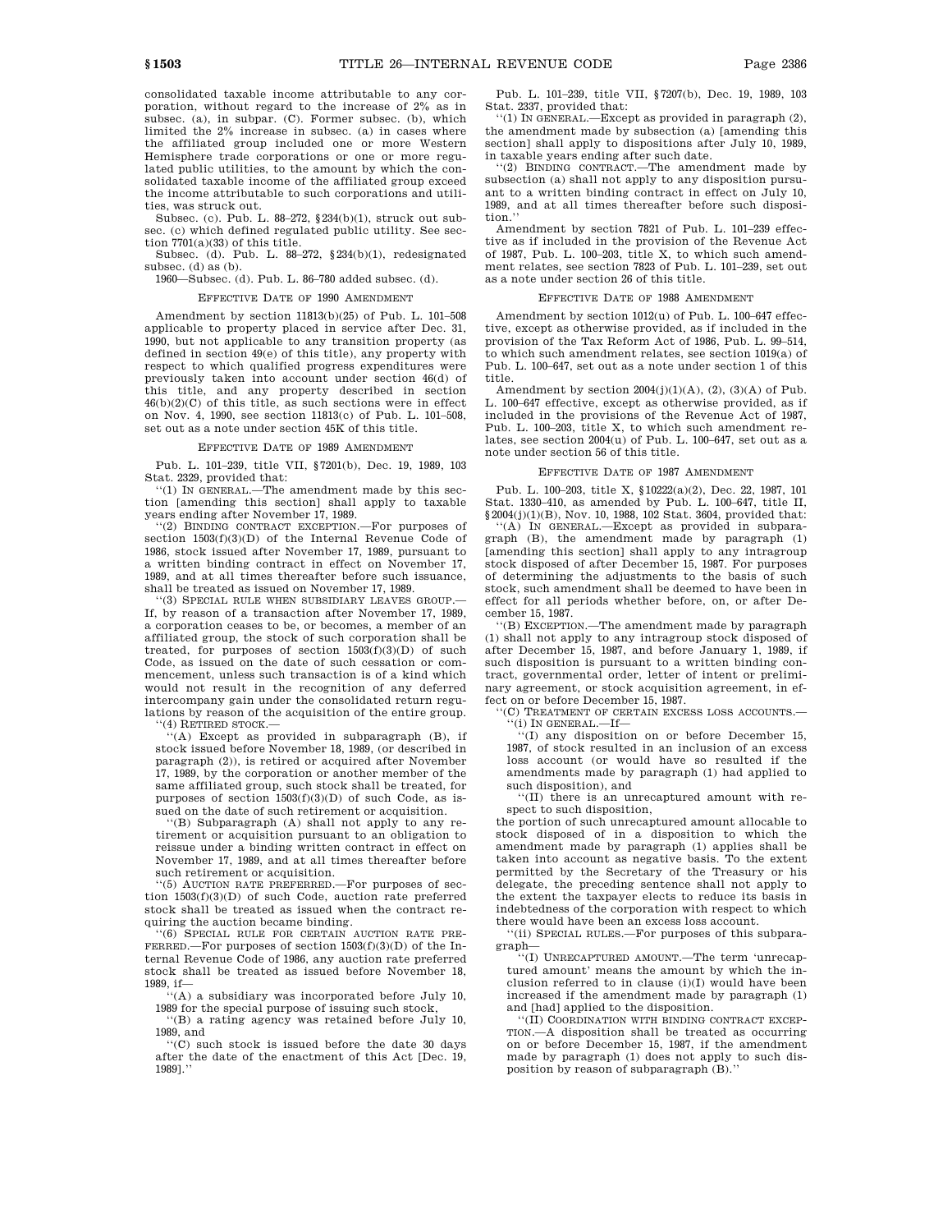consolidated taxable income attributable to any corporation, without regard to the increase of 2% as in subsec. (a), in subpar. (C). Former subsec. (b), which limited the 2% increase in subsec. (a) in cases where the affiliated group included one or more Western Hemisphere trade corporations or one or more regulated public utilities, to the amount by which the consolidated taxable income of the affiliated group exceed the income attributable to such corporations and utilities, was struck out.

Subsec. (c). Pub. L. 88–272, §234(b)(1), struck out subsec. (c) which defined regulated public utility. See section 7701(a)(33) of this title.

Subsec. (d). Pub. L. 88–272, §234(b)(1), redesignated subsec. (d) as (b).

1960—Subsec. (d). Pub. L. 86–780 added subsec. (d).

### EFFECTIVE DATE OF 1990 AMENDMENT

Amendment by section 11813(b)(25) of Pub. L. 101–508 applicable to property placed in service after Dec. 31, 1990, but not applicable to any transition property (as defined in section 49(e) of this title), any property with respect to which qualified progress expenditures were previously taken into account under section 46(d) of this title, and any property described in section  $46(b)(2)(C)$  of this title, as such sections were in effect on Nov. 4, 1990, see section 11813(c) of Pub. L. 101–508, set out as a note under section 45K of this title.

#### EFFECTIVE DATE OF 1989 AMENDMENT

Pub. L. 101–239, title VII, §7201(b), Dec. 19, 1989, 103 Stat. 2329, provided that:

''(1) IN GENERAL.—The amendment made by this section [amending this section] shall apply to taxable years ending after November 17, 1989.

''(2) BINDING CONTRACT EXCEPTION.—For purposes of section 1503(f)(3)(D) of the Internal Revenue Code of 1986, stock issued after November 17, 1989, pursuant to a written binding contract in effect on November 17, 1989, and at all times thereafter before such issuance, shall be treated as issued on November 17, 1989.

''(3) SPECIAL RULE WHEN SUBSIDIARY LEAVES GROUP.— If, by reason of a transaction after November 17, 1989, a corporation ceases to be, or becomes, a member of an affiliated group, the stock of such corporation shall be treated, for purposes of section 1503(f)(3)(D) of such Code, as issued on the date of such cessation or commencement, unless such transaction is of a kind which would not result in the recognition of any deferred intercompany gain under the consolidated return regulations by reason of the acquisition of the entire group. '(4) RETIRED STOCK.-

''(A) Except as provided in subparagraph (B), if stock issued before November 18, 1989, (or described in paragraph (2)), is retired or acquired after November 17, 1989, by the corporation or another member of the same affiliated group, such stock shall be treated, for purposes of section  $1503(f)(3)(D)$  of such Code, as issued on the date of such retirement or acquisition.

''(B) Subparagraph (A) shall not apply to any retirement or acquisition pursuant to an obligation to reissue under a binding written contract in effect on November 17, 1989, and at all times thereafter before such retirement or acquisition.

''(5) AUCTION RATE PREFERRED.—For purposes of section 1503(f)(3)(D) of such Code, auction rate preferred stock shall be treated as issued when the contract requiring the auction became binding.

''(6) SPECIAL RULE FOR CERTAIN AUCTION RATE PRE-FERRED.—For purposes of section 1503(f)(3)(D) of the Internal Revenue Code of 1986, any auction rate preferred stock shall be treated as issued before November 18, 1989, if—

''(A) a subsidiary was incorporated before July 10, 1989 for the special purpose of issuing such stock,

''(B) a rating agency was retained before July 10, 1989, and

''(C) such stock is issued before the date 30 days after the date of the enactment of this Act [Dec. 19, 1989].''

Pub. L. 101–239, title VII, §7207(b), Dec. 19, 1989, 103 Stat. 2337, provided that:

''(1) IN GENERAL.—Except as provided in paragraph (2), the amendment made by subsection (a) [amending this section] shall apply to dispositions after July 10, 1989, in taxable years ending after such date.

''(2) BINDING CONTRACT.—The amendment made by subsection (a) shall not apply to any disposition pursuant to a written binding contract in effect on July 10, 1989, and at all times thereafter before such disposition.''

Amendment by section 7821 of Pub. L. 101–239 effective as if included in the provision of the Revenue Act of 1987, Pub. L. 100–203, title X, to which such amendment relates, see section 7823 of Pub. L. 101–239, set out as a note under section 26 of this title.

### EFFECTIVE DATE OF 1988 AMENDMENT

Amendment by section 1012(u) of Pub. L. 100–647 effective, except as otherwise provided, as if included in the provision of the Tax Reform Act of 1986, Pub. L. 99–514, to which such amendment relates, see section 1019(a) of Pub. L. 100–647, set out as a note under section 1 of this title.

Amendment by section  $2004(j)(1)(A)$ ,  $(2)$ ,  $(3)(A)$  of Pub. L. 100–647 effective, except as otherwise provided, as if included in the provisions of the Revenue Act of 1987, Pub. L. 100–203, title X, to which such amendment relates, see section 2004(u) of Pub. L. 100–647, set out as a note under section 56 of this title.

### EFFECTIVE DATE OF 1987 AMENDMENT

Pub. L. 100–203, title X, §10222(a)(2), Dec. 22, 1987, 101 Stat. 1330–410, as amended by Pub. L. 100–647, title II,  $\$ \, 2004 {\rm (j)}{\rm (1)}{\rm (B)},$  Nov. 10, 1988, 102 Stat. 3604, provided that:

''(A) IN GENERAL.—Except as provided in subpara-graph (B), the amendment made by paragraph (1) [amending this section] shall apply to any intragroup stock disposed of after December 15, 1987. For purposes of determining the adjustments to the basis of such stock, such amendment shall be deemed to have been in effect for all periods whether before, on, or after December 15, 1987.

''(B) EXCEPTION.—The amendment made by paragraph (1) shall not apply to any intragroup stock disposed of after December 15, 1987, and before January 1, 1989, if such disposition is pursuant to a written binding contract, governmental order, letter of intent or preliminary agreement, or stock acquisition agreement, in effect on or before December 15, 1987.

'(C) TREATMENT OF CERTAIN EXCESS LOSS ACCOUNTS.-

''(i) IN GENERAL.—If— ''(I) any disposition on or before December 15, 1987, of stock resulted in an inclusion of an excess loss account (or would have so resulted if the amendments made by paragraph (1) had applied to such disposition), and

''(II) there is an unrecaptured amount with respect to such disposition,

the portion of such unrecaptured amount allocable to stock disposed of in a disposition to which the amendment made by paragraph (1) applies shall be taken into account as negative basis. To the extent permitted by the Secretary of the Treasury or his delegate, the preceding sentence shall not apply to the extent the taxpayer elects to reduce its basis in indebtedness of the corporation with respect to which there would have been an excess loss account.

''(ii) SPECIAL RULES.—For purposes of this subpara-

graph— ''(I) UNRECAPTURED AMOUNT.—The term 'unrecaptured amount' means the amount by which the inclusion referred to in clause (i)(I) would have been increased if the amendment made by paragraph (1) and [had] applied to the disposition.

''(II) COORDINATION WITH BINDING CONTRACT EXCEP-TION.—A disposition shall be treated as occurring on or before December 15, 1987, if the amendment made by paragraph (1) does not apply to such disposition by reason of subparagraph (B).''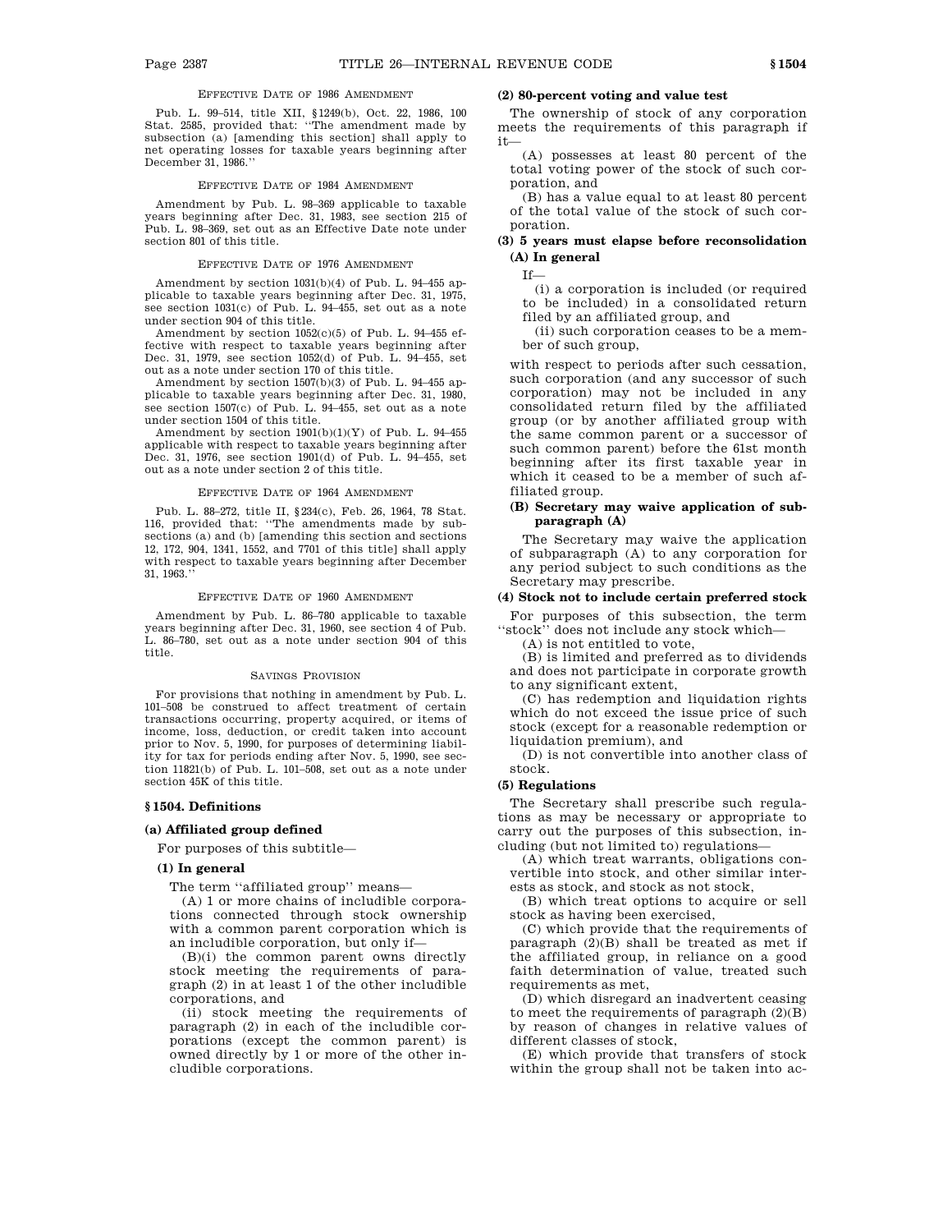### EFFECTIVE DATE OF 1986 AMENDMENT

Pub. L. 99–514, title XII, §1249(b), Oct. 22, 1986, 100 Stat. 2585, provided that: ''The amendment made by subsection (a) [amending this section] shall apply to net operating losses for taxable years beginning after December 31, 1986.''

#### EFFECTIVE DATE OF 1984 AMENDMENT

Amendment by Pub. L. 98–369 applicable to taxable years beginning after Dec. 31, 1983, see section 215 of Pub. L. 98–369, set out as an Effective Date note under section 801 of this title.

#### EFFECTIVE DATE OF 1976 AMENDMENT

Amendment by section 1031(b)(4) of Pub. L. 94–455 applicable to taxable years beginning after Dec. 31, 1975, see section 1031(c) of Pub. L. 94–455, set out as a note under section 904 of this title.

Amendment by section 1052(c)(5) of Pub. L. 94–455 effective with respect to taxable years beginning after Dec. 31, 1979, see section 1052(d) of Pub. L. 94–455, set out as a note under section 170 of this title.

Amendment by section 1507(b)(3) of Pub. L. 94–455 applicable to taxable years beginning after Dec. 31, 1980, see section 1507(c) of Pub. L. 94–455, set out as a note under section 1504 of this title.

Amendment by section  $1901(b)(1)(Y)$  of Pub. L. 94-455 applicable with respect to taxable years beginning after Dec. 31, 1976, see section 1901(d) of Pub. L. 94–455, set out as a note under section 2 of this title.

#### EFFECTIVE DATE OF 1964 AMENDMENT

Pub. L. 88–272, title II, §234(c), Feb. 26, 1964, 78 Stat. 116, provided that: ''The amendments made by subsections (a) and (b) [amending this section and sections 12, 172, 904, 1341, 1552, and 7701 of this title] shall apply with respect to taxable years beginning after December 31, 1963.''

#### EFFECTIVE DATE OF 1960 AMENDMENT

Amendment by Pub. L. 86–780 applicable to taxable years beginning after Dec. 31, 1960, see section 4 of Pub. L. 86–780, set out as a note under section 904 of this title.

#### SAVINGS PROVISION

For provisions that nothing in amendment by Pub. L. 101–508 be construed to affect treatment of certain transactions occurring, property acquired, or items of income, loss, deduction, or credit taken into account prior to Nov. 5, 1990, for purposes of determining liability for tax for periods ending after Nov. 5, 1990, see section 11821(b) of Pub. L. 101–508, set out as a note under section 45K of this title.

### **§ 1504. Definitions**

### **(a) Affiliated group defined**

For purposes of this subtitle—

#### **(1) In general**

The term ''affiliated group'' means—

(A) 1 or more chains of includible corporations connected through stock ownership with a common parent corporation which is an includible corporation, but only if—

(B)(i) the common parent owns directly stock meeting the requirements of paragraph (2) in at least 1 of the other includible corporations, and

(ii) stock meeting the requirements of paragraph (2) in each of the includible corporations (except the common parent) is owned directly by 1 or more of the other includible corporations.

### **(2) 80-percent voting and value test**

The ownership of stock of any corporation meets the requirements of this paragraph if it—

(A) possesses at least 80 percent of the total voting power of the stock of such corporation, and

(B) has a value equal to at least 80 percent of the total value of the stock of such corporation.

### **(3) 5 years must elapse before reconsolidation (A) In general**

If—

(i) a corporation is included (or required to be included) in a consolidated return filed by an affiliated group, and

(ii) such corporation ceases to be a member of such group,

with respect to periods after such cessation, such corporation (and any successor of such corporation) may not be included in any consolidated return filed by the affiliated group (or by another affiliated group with the same common parent or a successor of such common parent) before the 61st month beginning after its first taxable year in which it ceased to be a member of such affiliated group.

### **(B) Secretary may waive application of subparagraph (A)**

The Secretary may waive the application of subparagraph (A) to any corporation for any period subject to such conditions as the Secretary may prescribe.

### **(4) Stock not to include certain preferred stock**

For purposes of this subsection, the term ''stock'' does not include any stock which—

(A) is not entitled to vote,

(B) is limited and preferred as to dividends and does not participate in corporate growth to any significant extent,

(C) has redemption and liquidation rights which do not exceed the issue price of such stock (except for a reasonable redemption or liquidation premium), and

(D) is not convertible into another class of stock.

#### **(5) Regulations**

The Secretary shall prescribe such regulations as may be necessary or appropriate to carry out the purposes of this subsection, including (but not limited to) regulations—

(A) which treat warrants, obligations convertible into stock, and other similar interests as stock, and stock as not stock,

(B) which treat options to acquire or sell stock as having been exercised,

(C) which provide that the requirements of paragraph (2)(B) shall be treated as met if the affiliated group, in reliance on a good faith determination of value, treated such requirements as met,

(D) which disregard an inadvertent ceasing to meet the requirements of paragraph (2)(B) by reason of changes in relative values of different classes of stock,

(E) which provide that transfers of stock within the group shall not be taken into ac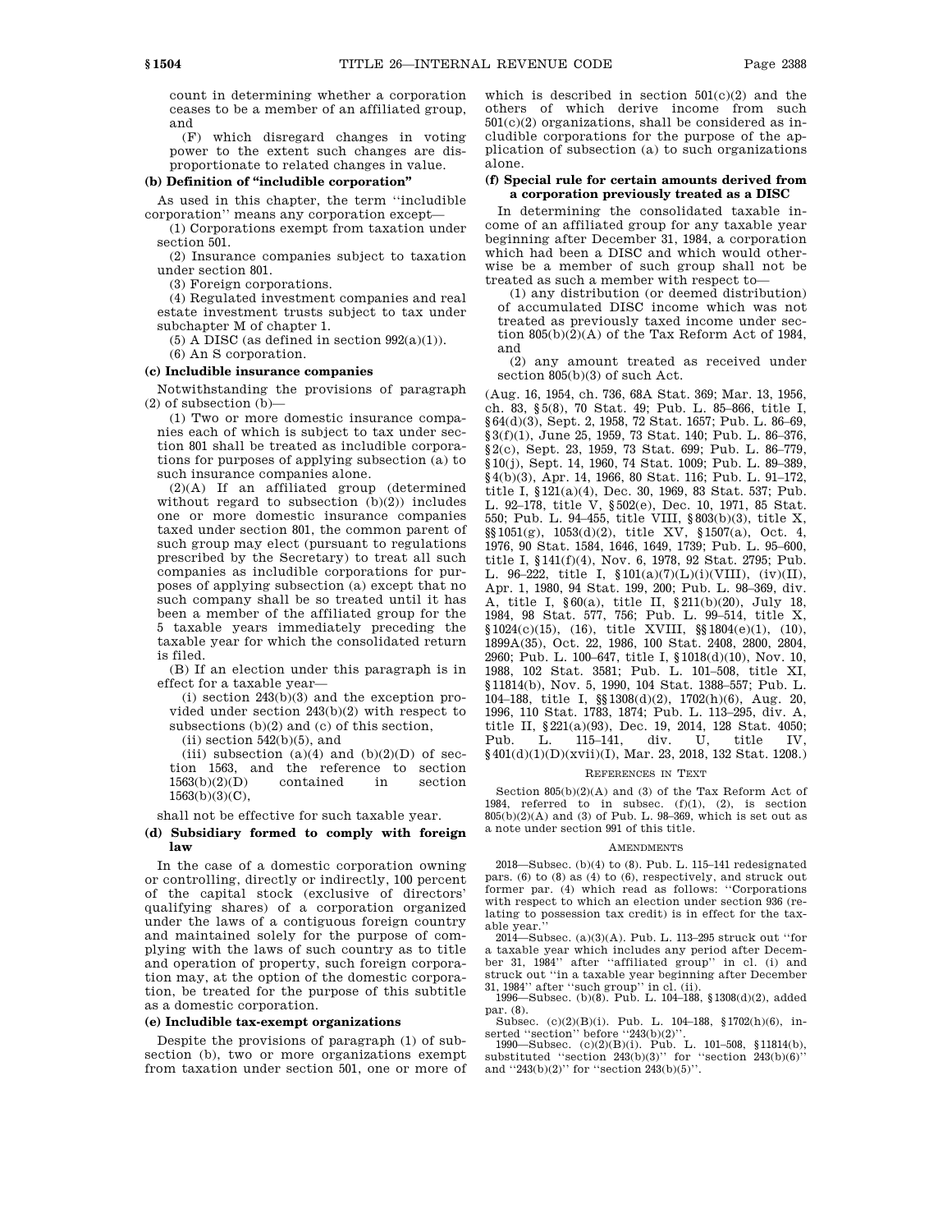count in determining whether a corporation ceases to be a member of an affiliated group, and

(F) which disregard changes in voting power to the extent such changes are disproportionate to related changes in value.

### **(b) Definition of ''includible corporation''**

As used in this chapter, the term ''includible corporation'' means any corporation except—

(1) Corporations exempt from taxation under section 501.

(2) Insurance companies subject to taxation under section 801.

(3) Foreign corporations.

(4) Regulated investment companies and real estate investment trusts subject to tax under subchapter M of chapter 1.

(5) A DISC (as defined in section  $992(a)(1)$ ).

(6) An S corporation.

### **(c) Includible insurance companies**

Notwithstanding the provisions of paragraph (2) of subsection (b)—

(1) Two or more domestic insurance companies each of which is subject to tax under section 801 shall be treated as includible corporations for purposes of applying subsection (a) to such insurance companies alone.

(2)(A) If an affiliated group (determined without regard to subsection  $(b)(2)$  includes one or more domestic insurance companies taxed under section 801, the common parent of such group may elect (pursuant to regulations prescribed by the Secretary) to treat all such companies as includible corporations for purposes of applying subsection (a) except that no such company shall be so treated until it has been a member of the affiliated group for the 5 taxable years immediately preceding the taxable year for which the consolidated return is filed.

(B) If an election under this paragraph is in effect for a taxable year—

 $(i)$  section  $243(b)(3)$  and the exception provided under section 243(b)(2) with respect to subsections (b)(2) and (c) of this section,

 $(ii)$  section  $542(b)(5)$ , and

(iii) subsection (a)(4) and (b)(2)(D) of section 1563, and the reference to section 1563(b)(2)(D) contained in section 1563(b)(3)(C),

shall not be effective for such taxable year.

#### **(d) Subsidiary formed to comply with foreign law**

In the case of a domestic corporation owning or controlling, directly or indirectly, 100 percent of the capital stock (exclusive of directors' qualifying shares) of a corporation organized under the laws of a contiguous foreign country and maintained solely for the purpose of complying with the laws of such country as to title and operation of property, such foreign corporation may, at the option of the domestic corporation, be treated for the purpose of this subtitle as a domestic corporation.

#### **(e) Includible tax-exempt organizations**

Despite the provisions of paragraph (1) of subsection (b), two or more organizations exempt from taxation under section 501, one or more of which is described in section  $501(c)(2)$  and the others of which derive income from such  $501(c)(2)$  organizations, shall be considered as includible corporations for the purpose of the application of subsection (a) to such organizations alone.

### **(f) Special rule for certain amounts derived from a corporation previously treated as a DISC**

In determining the consolidated taxable income of an affiliated group for any taxable year beginning after December 31, 1984, a corporation which had been a DISC and which would otherwise be a member of such group shall not be treated as such a member with respect to—

(1) any distribution (or deemed distribution) of accumulated DISC income which was not treated as previously taxed income under section  $805(b)(2)(A)$  of the Tax Reform Act of 1984, and

(2) any amount treated as received under section  $805(b)(3)$  of such Act.

(Aug. 16, 1954, ch. 736, 68A Stat. 369; Mar. 13, 1956, ch. 83, §5(8), 70 Stat. 49; Pub. L. 85–866, title I, §64(d)(3), Sept. 2, 1958, 72 Stat. 1657; Pub. L. 86–69, §3(f)(1), June 25, 1959, 73 Stat. 140; Pub. L. 86–376, §2(c), Sept. 23, 1959, 73 Stat. 699; Pub. L. 86–779, §10(j), Sept. 14, 1960, 74 Stat. 1009; Pub. L. 89–389, §4(b)(3), Apr. 14, 1966, 80 Stat. 116; Pub. L. 91–172, title I, §121(a)(4), Dec. 30, 1969, 83 Stat. 537; Pub. L. 92–178, title V, §502(e), Dec. 10, 1971, 85 Stat. 550; Pub. L. 94–455, title VIII, §803(b)(3), title X, §§1051(g), 1053(d)(2), title XV, §1507(a), Oct. 4, 1976, 90 Stat. 1584, 1646, 1649, 1739; Pub. L. 95–600, title I, §141(f)(4), Nov. 6, 1978, 92 Stat. 2795; Pub. L. 96–222, title I, §101(a)(7)(L)(i)(VIII), (iv)(II), Apr. 1, 1980, 94 Stat. 199, 200; Pub. L. 98–369, div. A, title I, §60(a), title II, §211(b)(20), July 18, 1984, 98 Stat. 577, 756; Pub. L. 99–514, title X,  $$1024(c)(15), (16),$  title XVIII,  $$1804(e)(1), (10),$ 1899A(35), Oct. 22, 1986, 100 Stat. 2408, 2800, 2804, 2960; Pub. L. 100–647, title I, §1018(d)(10), Nov. 10, 1988, 102 Stat. 3581; Pub. L. 101–508, title XI, §11814(b), Nov. 5, 1990, 104 Stat. 1388–557; Pub. L. 104–188, title I, §§1308(d)(2), 1702(h)(6), Aug. 20, 1996, 110 Stat. 1783, 1874; Pub. L. 113–295, div. A, title II, §221(a)(93), Dec. 19, 2014, 128 Stat. 4050; Pub. L. 115–141, div. U, title IV, §401(d)(1)(D)(xvii)(I), Mar. 23, 2018, 132 Stat. 1208.)

#### REFERENCES IN TEXT

Section 805(b)(2)(A) and (3) of the Tax Reform Act of 1984, referred to in subsec. (f)(1), (2), is section 805(b)(2)(A) and (3) of Pub. L. 98–369, which is set out as a note under section 991 of this title.

#### AMENDMENTS

2018—Subsec. (b)(4) to (8). Pub. L. 115–141 redesignated pars. (6) to (8) as (4) to (6), respectively, and struck out former par. (4) which read as follows: ''Corporations with respect to which an election under section 936 (relating to possession tax credit) is in effect for the taxable year.

2014—Subsec. (a)(3)(A). Pub. L. 113–295 struck out ''for a taxable year which includes any period after December 31, 1984'' after ''affiliated group'' in cl. (i) and struck out ''in a taxable year beginning after December 31, 1984'' after ''such group'' in cl. (ii).

1996—Subsec. (b)(8). Pub. L. 104–188, §1308(d)(2), added par. (8).

Subsec. (c)(2)(B)(i). Pub. L. 104–188, §1702(h)(6), in-

serted ''section'' before ''243(b)(2)''. 1990—Subsec. (c)(2)(B)(i). Pub. L. 101–508, §11814(b), substituted ''section 243(b)(3)'' for ''section 243(b)(6)'' and ''243(b)(2)'' for ''section 243(b)(5)''.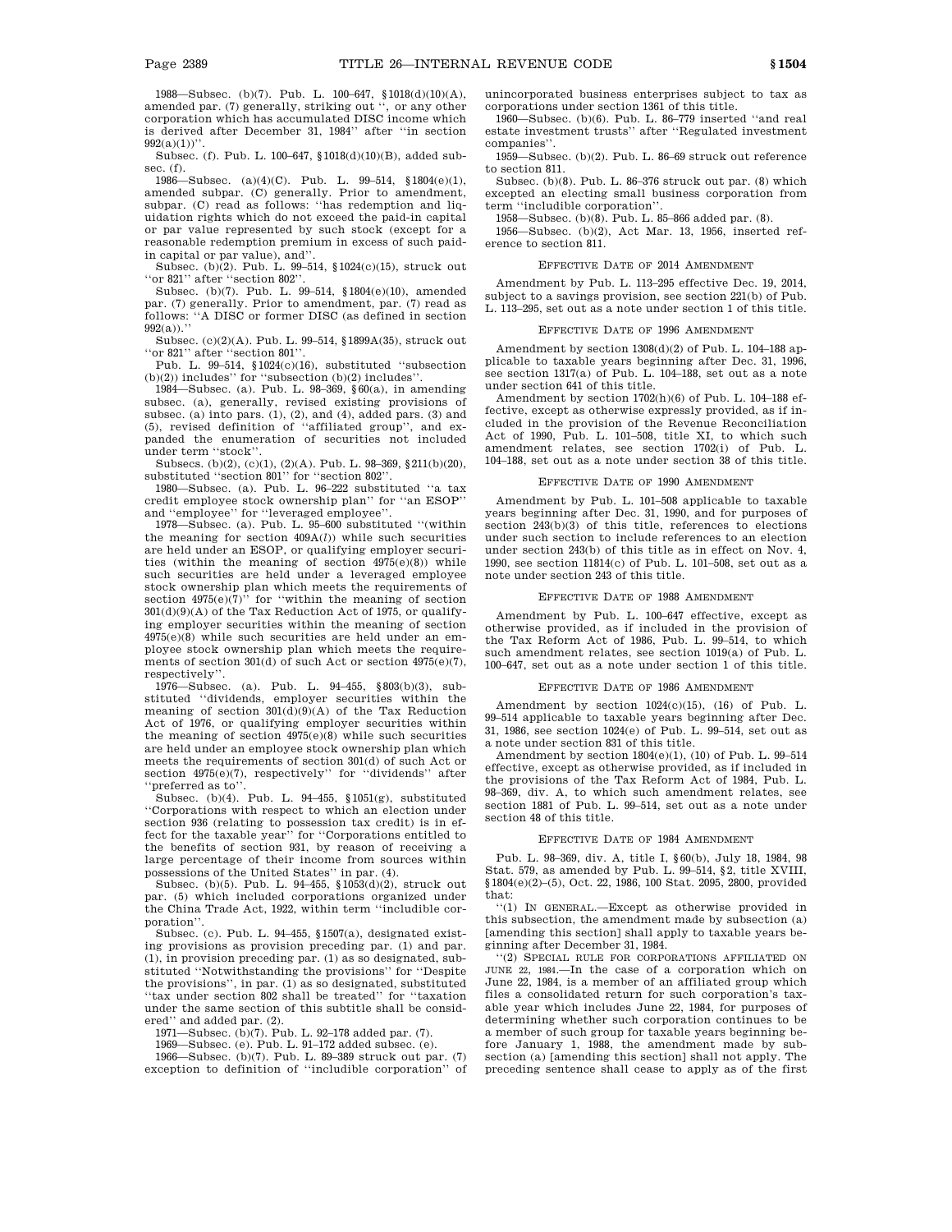1988—Subsec. (b)(7). Pub. L. 100–647, §1018(d)(10)(A), amended par. (7) generally, striking out '', or any other corporation which has accumulated DISC income which is derived after December 31, 1984'' after ''in section  $992(a)(1)$ 

Subsec. (f). Pub. L. 100–647, §1018(d)(10)(B), added subsec. (f).

1986—Subsec. (a)(4)(C). Pub. L. 99–514, §1804(e)(1), amended subpar. (C) generally. Prior to amendment, subpar. (C) read as follows: ''has redemption and liquidation rights which do not exceed the paid-in capital or par value represented by such stock (except for a reasonable redemption premium in excess of such paidin capital or par value), and''.

Subsec. (b)(2). Pub. L. 99–514, §1024(c)(15), struck out ''or 821'' after ''section 802''.

Subsec. (b)(7). Pub. L. 99–514, §1804(e)(10), amended par. (7) generally. Prior to amendment, par. (7) read as follows: ''A DISC or former DISC (as defined in section  $992(a)$ ."

Subsec. (c)(2)(A). Pub. L. 99–514, §1899A(35), struck out "or 821" after "section 801"

Pub. L. 99–514, §1024(c)(16), substituted ''subsection (b)(2)) includes'' for ''subsection (b)(2) includes''.

1984—Subsec. (a). Pub. L. 98–369, §60(a), in amending subsec. (a), generally, revised existing provisions of subsec. (a) into pars. (1), (2), and (4), added pars. (3) and (5), revised definition of ''affiliated group'', and expanded the enumeration of securities not included under term ''stock''.

Subsecs. (b)(2), (c)(1), (2)(A). Pub. L. 98–369, §211(b)(20), substituted ''section 801'' for ''section 802''.

1980—Subsec. (a). Pub. L. 96–222 substituted ''a tax credit employee stock ownership plan'' for ''an ESOP'' and ''employee'' for ''leveraged employee''.

1978—Subsec. (a). Pub. L. 95–600 substituted ''(within the meaning for section 409A(*l*)) while such securities are held under an ESOP, or qualifying employer securities (within the meaning of section  $4975(e)(8)$ ) while such securities are held under a leveraged employee stock ownership plan which meets the requirements of section  $4975(e)(7)$ " for "within the meaning of section  $301<sub>(d)(9)(A)</sub>$  of the Tax Reduction Act of 1975, or qualifying employer securities within the meaning of section 4975(e)(8) while such securities are held under an employee stock ownership plan which meets the requirements of section 301(d) of such Act or section 4975(e)(7), respectively''.

1976—Subsec. (a). Pub. L. 94–455, §803(b)(3), substituted ''dividends, employer securities within the meaning of section  $301(d)(9)(A)$  of the Tax Reduction Act of 1976, or qualifying employer securities within the meaning of section  $4975(e)(8)$  while such securities are held under an employee stock ownership plan which meets the requirements of section 301(d) of such Act or section  $4975(e)(7)$ , respectively" for "dividends" after ''preferred as to''.

Subsec. (b)(4). Pub. L. 94–455, §1051(g), substituted ''Corporations with respect to which an election under section 936 (relating to possession tax credit) is in effect for the taxable year'' for ''Corporations entitled to the benefits of section 931, by reason of receiving a large percentage of their income from sources within possessions of the United States'' in par. (4). Subsec. (b)(5). Pub. L. 94–455, §1053(d)(2), struck out

par. (5) which included corporations organized under the China Trade Act, 1922, within term ''includible corporation''.

Subsec. (c). Pub. L. 94–455, §1507(a), designated existing provisions as provision preceding par. (1) and par. (1), in provision preceding par. (1) as so designated, substituted ''Notwithstanding the provisions'' for ''Despite the provisions'', in par. (1) as so designated, substituted ''tax under section 802 shall be treated'' for ''taxation under the same section of this subtitle shall be considered'' and added par. (2).

1971—Subsec. (b)(7). Pub. L. 92–178 added par. (7).

1969—Subsec. (e). Pub. L. 91–172 added subsec. (e). 1966—Subsec. (b)(7). Pub. L. 89–389 struck out par. (7)

exception to definition of ''includible corporation'' of

unincorporated business enterprises subject to tax as corporations under section 1361 of this title.

1960—Subsec. (b)(6). Pub. L. 86–779 inserted ''and real estate investment trusts'' after ''Regulated investment companies''.

1959—Subsec. (b)(2). Pub. L. 86–69 struck out reference to section 811.

Subsec. (b)(8). Pub. L. 86–376 struck out par. (8) which excepted an electing small business corporation from term ''includible corporation''.

1958—Subsec. (b)(8). Pub. L. 85–866 added par. (8).

1956—Subsec. (b)(2), Act Mar. 13, 1956, inserted reference to section 811.

#### EFFECTIVE DATE OF 2014 AMENDMENT

Amendment by Pub. L. 113–295 effective Dec. 19, 2014, subject to a savings provision, see section 221(b) of Pub. L. 113–295, set out as a note under section 1 of this title.

#### EFFECTIVE DATE OF 1996 AMENDMENT

Amendment by section  $1308(d)(2)$  of Pub. L. 104–188 applicable to taxable years beginning after Dec. 31, 1996, see section 1317(a) of Pub. L. 104–188, set out as a note under section 641 of this title.

Amendment by section 1702(h)(6) of Pub. L. 104–188 effective, except as otherwise expressly provided, as if included in the provision of the Revenue Reconciliation Act of 1990, Pub. L. 101–508, title XI, to which such amendment relates, see section 1702(i) of Pub. L. 104–188, set out as a note under section 38 of this title.

#### EFFECTIVE DATE OF 1990 AMENDMENT

Amendment by Pub. L. 101–508 applicable to taxable years beginning after Dec. 31, 1990, and for purposes of section 243(b)(3) of this title, references to elections under such section to include references to an election under section 243(b) of this title as in effect on Nov. 4, 1990, see section 11814(c) of Pub. L. 101–508, set out as a note under section 243 of this title.

#### EFFECTIVE DATE OF 1988 AMENDMENT

Amendment by Pub. L. 100–647 effective, except as otherwise provided, as if included in the provision of the Tax Reform Act of 1986, Pub. L. 99–514, to which such amendment relates, see section 1019(a) of Pub. L. 100–647, set out as a note under section 1 of this title.

### EFFECTIVE DATE OF 1986 AMENDMENT

Amendment by section  $1024(c)(15)$ ,  $(16)$  of Pub. L. 99–514 applicable to taxable years beginning after Dec. 31, 1986, see section 1024(e) of Pub. L. 99–514, set out as a note under section 831 of this title.

Amendment by section 1804(e)(1), (10) of Pub. L. 99–514 effective, except as otherwise provided, as if included in the provisions of the Tax Reform Act of 1984, Pub. L. 98–369, div. A, to which such amendment relates, see section 1881 of Pub. L. 99–514, set out as a note under section 48 of this title.

#### EFFECTIVE DATE OF 1984 AMENDMENT

Pub. L. 98–369, div. A, title I, §60(b), July 18, 1984, 98 Stat. 579, as amended by Pub. L. 99–514, §2, title XVIII, §1804(e)(2)–(5), Oct. 22, 1986, 100 Stat. 2095, 2800, provided that:

''(1) IN GENERAL.—Except as otherwise provided in this subsection, the amendment made by subsection (a) [amending this section] shall apply to taxable years beginning after December 31, 1984.

''(2) SPECIAL RULE FOR CORPORATIONS AFFILIATED ON JUNE 22, 1984.—In the case of a corporation which on June 22, 1984, is a member of an affiliated group which files a consolidated return for such corporation's taxable year which includes June 22, 1984, for purposes of determining whether such corporation continues to be a member of such group for taxable years beginning before January 1, 1988, the amendment made by sub-section (a) [amending this section] shall not apply. The preceding sentence shall cease to apply as of the first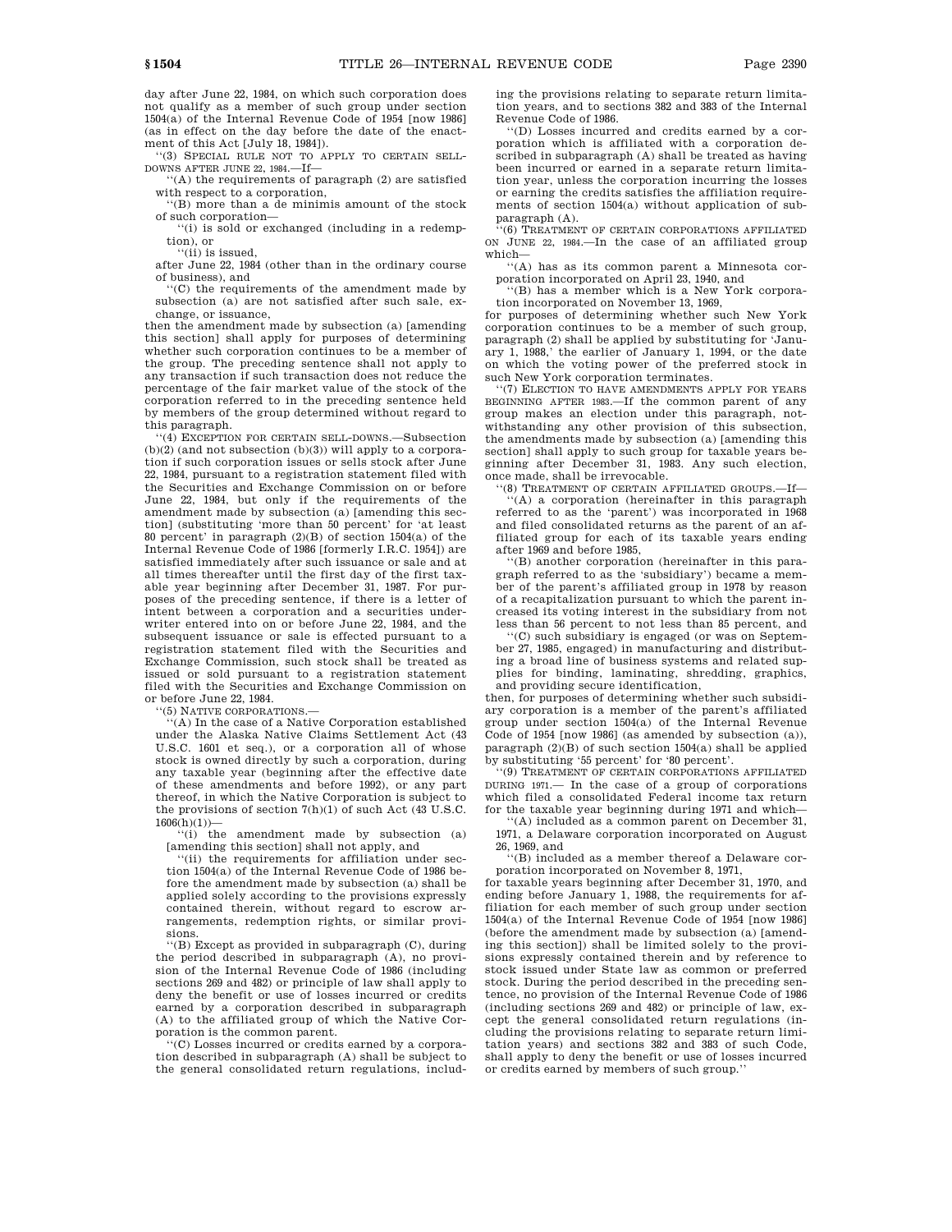day after June 22, 1984, on which such corporation does not qualify as a member of such group under section 1504(a) of the Internal Revenue Code of 1954 [now 1986] (as in effect on the day before the date of the enactment of this Act [July 18, 1984]).

''(3) SPECIAL RULE NOT TO APPLY TO CERTAIN SELL-DOWNS AFTER JUNE 22, 1984.—If—

''(A) the requirements of paragraph (2) are satisfied with respect to a corporation,

''(B) more than a de minimis amount of the stock of such corporation—

''(i) is sold or exchanged (including in a redemption), or ''(ii) is issued,

after June 22, 1984 (other than in the ordinary course of business), and

''(C) the requirements of the amendment made by subsection (a) are not satisfied after such sale, exchange, or issuance,

then the amendment made by subsection (a) [amending this section] shall apply for purposes of determining whether such corporation continues to be a member of the group. The preceding sentence shall not apply to any transaction if such transaction does not reduce the percentage of the fair market value of the stock of the corporation referred to in the preceding sentence held by members of the group determined without regard to this paragraph.

''(4) EXCEPTION FOR CERTAIN SELL-DOWNS.—Subsection (b)(2) (and not subsection (b)(3)) will apply to a corporation if such corporation issues or sells stock after June 22, 1984, pursuant to a registration statement filed with the Securities and Exchange Commission on or before June 22, 1984, but only if the requirements of the amendment made by subsection (a) [amending this section] (substituting 'more than 50 percent' for 'at least 80 percent' in paragraph (2)(B) of section 1504(a) of the Internal Revenue Code of 1986 [formerly I.R.C. 1954]) are satisfied immediately after such issuance or sale and at all times thereafter until the first day of the first taxable year beginning after December 31, 1987. For purposes of the preceding sentence, if there is a letter of intent between a corporation and a securities underwriter entered into on or before June 22, 1984, and the subsequent issuance or sale is effected pursuant to a registration statement filed with the Securities and Exchange Commission, such stock shall be treated as issued or sold pursuant to a registration statement filed with the Securities and Exchange Commission on or before June 22, 1984.

'(5) NATIVE CORPORATIONS.

'(A) In the case of a Native Corporation established under the Alaska Native Claims Settlement Act (43 U.S.C. 1601 et seq.), or a corporation all of whose stock is owned directly by such a corporation, during any taxable year (beginning after the effective date of these amendments and before 1992), or any part thereof, in which the Native Corporation is subject to the provisions of section 7(h)(1) of such Act (43 U.S.C.  $1606(h)(1)$ 

''(i) the amendment made by subsection (a) [amending this section] shall not apply, and

''(ii) the requirements for affiliation under section 1504(a) of the Internal Revenue Code of 1986 before the amendment made by subsection (a) shall be applied solely according to the provisions expressly contained therein, without regard to escrow arrangements, redemption rights, or similar provisions.

''(B) Except as provided in subparagraph (C), during the period described in subparagraph (A), no provision of the Internal Revenue Code of 1986 (including sections 269 and 482) or principle of law shall apply to deny the benefit or use of losses incurred or credits earned by a corporation described in subparagraph (A) to the affiliated group of which the Native Corporation is the common parent.

''(C) Losses incurred or credits earned by a corporation described in subparagraph (A) shall be subject to the general consolidated return regulations, including the provisions relating to separate return limitation years, and to sections 382 and 383 of the Internal Revenue Code of 1986.

''(D) Losses incurred and credits earned by a corporation which is affiliated with a corporation described in subparagraph (A) shall be treated as having been incurred or earned in a separate return limitation year, unless the corporation incurring the losses or earning the credits satisfies the affiliation requirements of section 1504(a) without application of subparagraph (A).

 $\dot{f}(6)$  TREATMENT OF CERTAIN CORPORATIONS AFFILIATED ON JUNE 22, 1984.—In the case of an affiliated group which—

''(A) has as its common parent a Minnesota corporation incorporated on April 23, 1940, and

''(B) has a member which is a New York corporation incorporated on November 13, 1969,

for purposes of determining whether such New York corporation continues to be a member of such group, paragraph (2) shall be applied by substituting for 'January 1, 1988,' the earlier of January 1, 1994, or the date on which the voting power of the preferred stock in such New York corporation terminates.

''(7) ELECTION TO HAVE AMENDMENTS APPLY FOR YEARS BEGINNING AFTER 1983.—If the common parent of any group makes an election under this paragraph, notwithstanding any other provision of this subsection, the amendments made by subsection (a) [amending this section] shall apply to such group for taxable years beginning after December 31, 1983. Any such election, once made, shall be irrevocable.

'(8) TREATMENT OF CERTAIN AFFILIATED GROUPS.—If-''(A) a corporation (hereinafter in this paragraph referred to as the 'parent') was incorporated in 1968 and filed consolidated returns as the parent of an affiliated group for each of its taxable years ending after 1969 and before 1985,

''(B) another corporation (hereinafter in this paragraph referred to as the 'subsidiary') became a member of the parent's affiliated group in 1978 by reason of a recapitalization pursuant to which the parent increased its voting interest in the subsidiary from not less than 56 percent to not less than 85 percent, and

''(C) such subsidiary is engaged (or was on September 27, 1985, engaged) in manufacturing and distributing a broad line of business systems and related supplies for binding, laminating, shredding, graphics, and providing secure identification,

then, for purposes of determining whether such subsidiary corporation is a member of the parent's affiliated group under section 1504(a) of the Internal Revenue Code of 1954 [now 1986] (as amended by subsection (a)), paragraph  $(2)(B)$  of such section 1504 $(a)$  shall be applied by substituting '55 percent' for '80 percent'.

'(9) TREATMENT OF CERTAIN CORPORATIONS AFFILIATED DURING 1971.— In the case of a group of corporations which filed a consolidated Federal income tax return for the taxable year beginning during 1971 and which—

''(A) included as a common parent on December 31, 1971, a Delaware corporation incorporated on August 26, 1969, and

''(B) included as a member thereof a Delaware corporation incorporated on November 8, 1971,

for taxable years beginning after December 31, 1970, and ending before January 1, 1988, the requirements for affiliation for each member of such group under section 1504(a) of the Internal Revenue Code of 1954 [now 1986] (before the amendment made by subsection (a) [amending this section]) shall be limited solely to the provisions expressly contained therein and by reference to stock issued under State law as common or preferred stock. During the period described in the preceding sentence, no provision of the Internal Revenue Code of 1986 (including sections 269 and 482) or principle of law, except the general consolidated return regulations (including the provisions relating to separate return limitation years) and sections 382 and 383 of such Code, shall apply to deny the benefit or use of losses incurred or credits earned by members of such group.''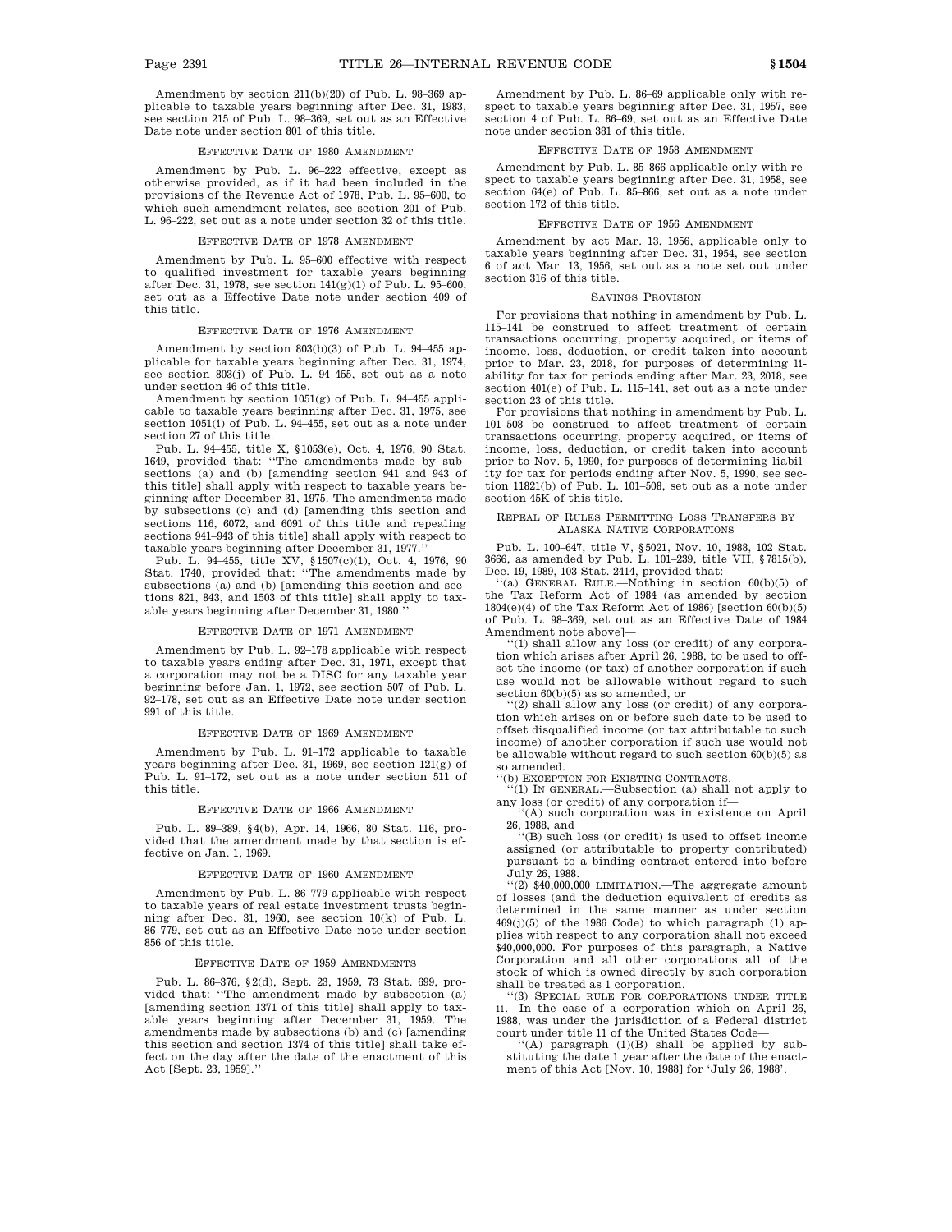Amendment by section 211(b)(20) of Pub. L. 98–369 applicable to taxable years beginning after Dec. 31, 1983, see section 215 of Pub. L. 98–369, set out as an Effective Date note under section 801 of this title.

#### EFFECTIVE DATE OF 1980 AMENDMENT

Amendment by Pub. L. 96–222 effective, except as otherwise provided, as if it had been included in the provisions of the Revenue Act of 1978, Pub. L. 95–600, to which such amendment relates, see section 201 of Pub. L. 96–222, set out as a note under section 32 of this title.

#### EFFECTIVE DATE OF 1978 AMENDMENT

Amendment by Pub. L. 95–600 effective with respect to qualified investment for taxable years beginning after Dec. 31, 1978, see section 141(g)(1) of Pub. L. 95–600, set out as a Effective Date note under section 409 of this title.

#### EFFECTIVE DATE OF 1976 AMENDMENT

Amendment by section 803(b)(3) of Pub. L. 94–455 applicable for taxable years beginning after Dec. 31, 1974, see section 803(j) of Pub. L. 94–455, set out as a note under section 46 of this title.

Amendment by section 1051(g) of Pub. L. 94–455 applicable to taxable years beginning after Dec. 31, 1975, see section 1051(i) of Pub. L. 94–455, set out as a note under section 27 of this title.

Pub. L. 94–455, title X, §1053(e), Oct. 4, 1976, 90 Stat. 1649, provided that: ''The amendments made by subsections (a) and (b) [amending section 941 and 943 of this title] shall apply with respect to taxable years beginning after December 31, 1975. The amendments made by subsections (c) and (d) [amending this section and sections 116, 6072, and 6091 of this title and repealing sections 941–943 of this title] shall apply with respect to taxable years beginning after December 31, 1977.

Pub. L. 94–455, title XV, §1507(c)(1), Oct. 4, 1976, 90 Stat. 1740, provided that: ''The amendments made by subsections (a) and (b) [amending this section and sections 821, 843, and 1503 of this title] shall apply to taxable years beginning after December 31, 1980.

#### EFFECTIVE DATE OF 1971 AMENDMENT

Amendment by Pub. L. 92–178 applicable with respect to taxable years ending after Dec. 31, 1971, except that a corporation may not be a DISC for any taxable year beginning before Jan. 1, 1972, see section 507 of Pub. L. 92–178, set out as an Effective Date note under section 991 of this title.

#### EFFECTIVE DATE OF 1969 AMENDMENT

Amendment by Pub. L. 91–172 applicable to taxable years beginning after Dec. 31, 1969, see section 121(g) of Pub. L. 91–172, set out as a note under section 511 of this title.

#### EFFECTIVE DATE OF 1966 AMENDMENT

Pub. L. 89–389, §4(b), Apr. 14, 1966, 80 Stat. 116, provided that the amendment made by that section is effective on Jan. 1, 1969.

#### EFFECTIVE DATE OF 1960 AMENDMENT

Amendment by Pub. L. 86–779 applicable with respect to taxable years of real estate investment trusts beginning after Dec. 31, 1960, see section 10(k) of Pub. L. 86–779, set out as an Effective Date note under section 856 of this title.

#### EFFECTIVE DATE OF 1959 AMENDMENTS

Pub. L. 86–376, §2(d), Sept. 23, 1959, 73 Stat. 699, provided that: ''The amendment made by subsection (a) [amending section 1371 of this title] shall apply to taxable years beginning after December 31, 1959. The amendments made by subsections (b) and (c) [amending this section and section 1374 of this title] shall take effect on the day after the date of the enactment of this Act [Sept. 23, 1959].''

Amendment by Pub. L. 86–69 applicable only with respect to taxable years beginning after Dec. 31, 1957, see section 4 of Pub. L. 86–69, set out as an Effective Date note under section 381 of this title.

### EFFECTIVE DATE OF 1958 AMENDMENT

Amendment by Pub. L. 85–866 applicable only with respect to taxable years beginning after Dec. 31, 1958, see section 64(e) of Pub. L. 85–866, set out as a note under section 172 of this title.

#### EFFECTIVE DATE OF 1956 AMENDMENT

Amendment by act Mar. 13, 1956, applicable only to taxable years beginning after Dec. 31, 1954, see section 6 of act Mar. 13, 1956, set out as a note set out under section 316 of this title.

#### SAVINGS PROVISION

For provisions that nothing in amendment by Pub. L. 115–141 be construed to affect treatment of certain transactions occurring, property acquired, or items of income, loss, deduction, or credit taken into account prior to Mar. 23, 2018, for purposes of determining liability for tax for periods ending after Mar. 23, 2018, see section 401(e) of Pub. L. 115–141, set out as a note under section 23 of this title.

For provisions that nothing in amendment by Pub. L. 101–508 be construed to affect treatment of certain transactions occurring, property acquired, or items of income, loss, deduction, or credit taken into account prior to Nov. 5, 1990, for purposes of determining liability for tax for periods ending after Nov. 5, 1990, see section 11821(b) of Pub. L. 101–508, set out as a note under section 45K of this title.

#### REPEAL OF RULES PERMITTING LOSS TRANSFERS BY ALASKA NATIVE CORPORATIONS

Pub. L. 100–647, title V, §5021, Nov. 10, 1988, 102 Stat. 3666, as amended by Pub. L. 101–239, title VII, §7815(b), Dec. 19, 1989, 103 Stat. 2414, provided that:

'(a) GENERAL RULE.—Nothing in section  $60(b)(5)$  of the Tax Reform Act of 1984 (as amended by section  $1804(e)(4)$  of the Tax Reform Act of 1986) [section  $60(b)(5)$ of Pub. L. 98–369, set out as an Effective Date of 1984 Amendment note above]—

'(1) shall allow any loss (or credit) of any corporation which arises after April 26, 1988, to be used to offset the income (or tax) of another corporation if such use would not be allowable without regard to such section 60(b)(5) as so amended, or

''(2) shall allow any loss (or credit) of any corporation which arises on or before such date to be used to offset disqualified income (or tax attributable to such income) of another corporation if such use would not be allowable without regard to such section  $60(b)(5)$  as so amended.

'(b) EXCEPTION FOR EXISTING CONTRACTS.-

''(1) IN GENERAL.—Subsection (a) shall not apply to any loss (or credit) of any corporation if— ''(A) such corporation was in existence on April

26, 1988, and

''(B) such loss (or credit) is used to offset income assigned (or attributable to property contributed) pursuant to a binding contract entered into before July 26, 1988.

''(2) \$40,000,000 LIMITATION.—The aggregate amount of losses (and the deduction equivalent of credits as determined in the same manner as under section  $469(j)(5)$  of the 1986 Code) to which paragraph (1) applies with respect to any corporation shall not exceed \$40,000,000. For purposes of this paragraph, a Native Corporation and all other corporations all of the stock of which is owned directly by such corporation shall be treated as 1 corporation.

''(3) SPECIAL RULE FOR CORPORATIONS UNDER TITLE 11.—In the case of a corporation which on April 26, 1988, was under the jurisdiction of a Federal district court under title 11 of the United States Code—

''(A) paragraph (1)(B) shall be applied by substituting the date 1 year after the date of the enactment of this Act [Nov. 10, 1988] for 'July 26, 1988',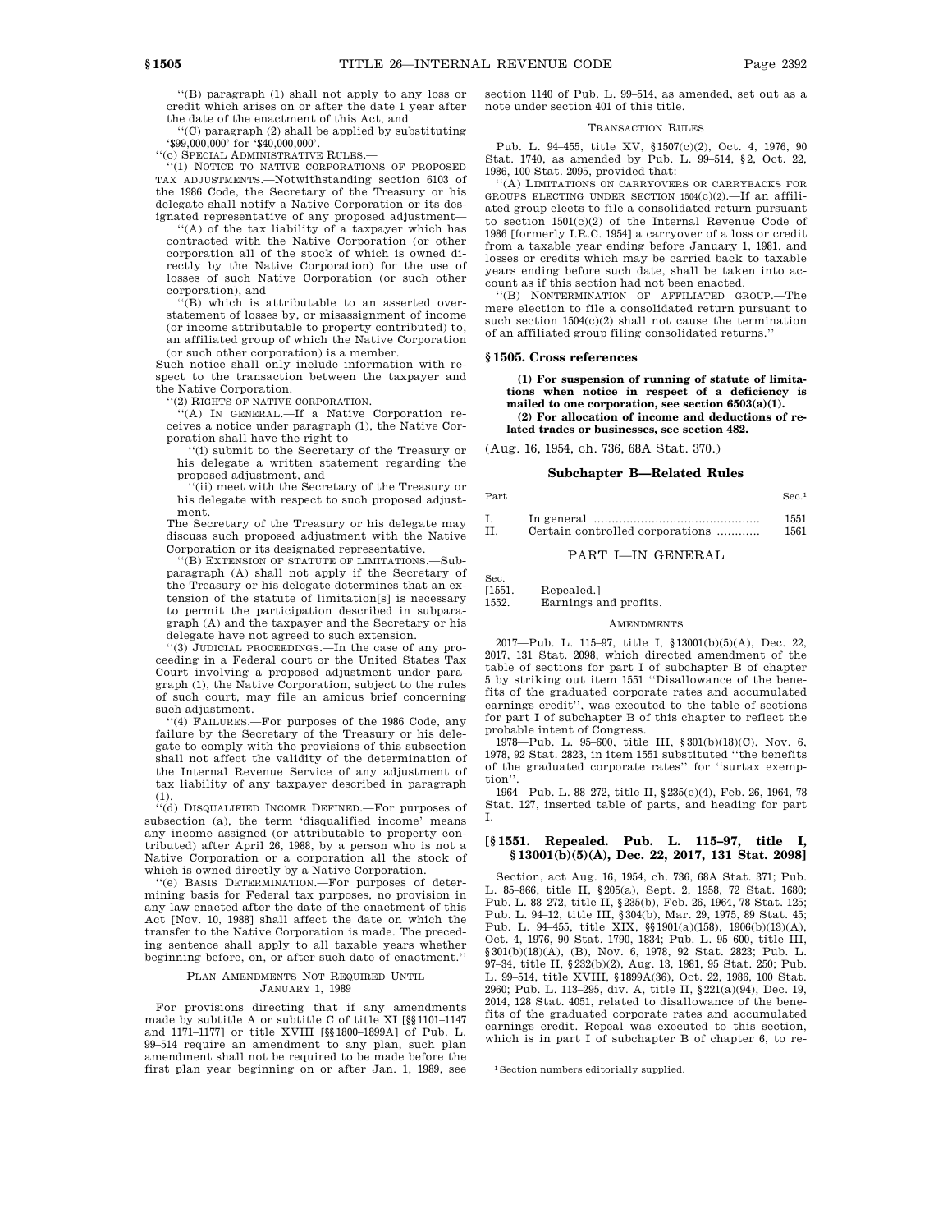''(B) paragraph (1) shall not apply to any loss or credit which arises on or after the date 1 year after the date of the enactment of this Act, and

''(C) paragraph (2) shall be applied by substituting '\$99,000,000' for '\$40,000,000'.

''(c) SPECIAL ADMINISTRATIVE RULES.—

''(1) NOTICE TO NATIVE CORPORATIONS OF PROPOSED TAX ADJUSTMENTS.—Notwithstanding section 6103 of the 1986 Code, the Secretary of the Treasury or his delegate shall notify a Native Corporation or its designated representative of any proposed adjustment—

''(A) of the tax liability of a taxpayer which has contracted with the Native Corporation (or other corporation all of the stock of which is owned directly by the Native Corporation) for the use of losses of such Native Corporation (or such other corporation), and

(B) which is attributable to an asserted overstatement of losses by, or misassignment of income (or income attributable to property contributed) to, an affiliated group of which the Native Corporation (or such other corporation) is a member.

Such notice shall only include information with respect to the transaction between the taxpayer and the Native Corporation.

''(2) RIGHTS OF NATIVE CORPORATION.—

''(A) IN GENERAL.—If a Native Corporation receives a notice under paragraph (1), the Native Corporation shall have the right to—

''(i) submit to the Secretary of the Treasury or his delegate a written statement regarding the proposed adjustment, and

''(ii) meet with the Secretary of the Treasury or his delegate with respect to such proposed adjustment.

The Secretary of the Treasury or his delegate may discuss such proposed adjustment with the Native Corporation or its designated representative.

''(B) EXTENSION OF STATUTE OF LIMITATIONS.—Subparagraph (A) shall not apply if the Secretary of the Treasury or his delegate determines that an extension of the statute of limitation[s] is necessary to permit the participation described in subparagraph (A) and the taxpayer and the Secretary or his delegate have not agreed to such extension.

''(3) JUDICIAL PROCEEDINGS.—In the case of any proceeding in a Federal court or the United States Tax Court involving a proposed adjustment under paragraph (1), the Native Corporation, subject to the rules of such court, may file an amicus brief concerning such adjustment.

''(4) FAILURES.—For purposes of the 1986 Code, any failure by the Secretary of the Treasury or his delegate to comply with the provisions of this subsection shall not affect the validity of the determination of the Internal Revenue Service of any adjustment of tax liability of any taxpayer described in paragraph (1).

''(d) DISQUALIFIED INCOME DEFINED.—For purposes of subsection (a), the term 'disqualified income' means any income assigned (or attributable to property contributed) after April 26, 1988, by a person who is not a Native Corporation or a corporation all the stock of which is owned directly by a Native Corporation.

'(e) BASIS DETERMINATION.-For purposes of determining basis for Federal tax purposes, no provision in any law enacted after the date of the enactment of this Act [Nov. 10, 1988] shall affect the date on which the transfer to the Native Corporation is made. The preceding sentence shall apply to all taxable years whether beginning before, on, or after such date of enactment.''

#### PLAN AMENDMENTS NOT REQUIRED UNTIL JANUARY 1, 1989

For provisions directing that if any amendments made by subtitle A or subtitle C of title XI [§§1101–1147] and 1171–1177] or title XVIII [§§1800–1899A] of Pub. L. 99–514 require an amendment to any plan, such plan amendment shall not be required to be made before the first plan year beginning on or after Jan. 1, 1989, see

section 1140 of Pub. L. 99–514, as amended, set out as a note under section 401 of this title.

### TRANSACTION RULES

Pub. L. 94–455, title XV, §1507(c)(2), Oct. 4, 1976, 90 Stat. 1740, as amended by Pub. L. 99–514, §2, Oct. 22, 1986, 100 Stat. 2095, provided that:

''(A) LIMITATIONS ON CARRYOVERS OR CARRYBACKS FOR GROUPS ELECTING UNDER SECTION 1504(c)(2).—If an affiliated group elects to file a consolidated return pursuant to section 1501(c)(2) of the Internal Revenue Code of 1986 [formerly I.R.C. 1954] a carryover of a loss or credit from a taxable year ending before January 1, 1981, and losses or credits which may be carried back to taxable years ending before such date, shall be taken into account as if this section had not been enacted.

''(B) NONTERMINATION OF AFFILIATED GROUP.—The mere election to file a consolidated return pursuant to such section 1504(c)(2) shall not cause the termination of an affiliated group filing consolidated returns.''

### **§ 1505. Cross references**

**(1) For suspension of running of statute of limitations when notice in respect of a deficiency is mailed to one corporation, see section 6503(a)(1). (2) For allocation of income and deductions of related trades or businesses, see section 482.**

(Aug. 16, 1954, ch. 736, 68A Stat. 370.)

## **Subchapter B—Related Rules** Part Sec.<sup>1</sup>

| Ι.  |                                 | 1551 |
|-----|---------------------------------|------|
| TT. | Certain controlled corporations | 1561 |

### PART I—IN GENERAL

Sec.

[1551. Repealed.] 1552. Earnings and profits.

#### **AMENDMENTS**

2017—Pub. L. 115–97, title I, §13001(b)(5)(A), Dec. 22, 2017, 131 Stat. 2098, which directed amendment of the table of sections for part I of subchapter B of chapter 5 by striking out item 1551 ''Disallowance of the benefits of the graduated corporate rates and accumulated earnings credit'', was executed to the table of sections for part I of subchapter B of this chapter to reflect the probable intent of Congress.

1978—Pub. L. 95–600, title III, §301(b)(18)(C), Nov. 6, 1978, 92 Stat. 2823, in item 1551 substituted ''the benefits of the graduated corporate rates'' for ''surtax exemption'

1964—Pub. L. 88–272, title II, §235(c)(4), Feb. 26, 1964, 78 Stat. 127, inserted table of parts, and heading for part I.

### **[§ 1551. Repealed. Pub. L. 115–97, title I, § 13001(b)(5)(A), Dec. 22, 2017, 131 Stat. 2098]**

Section, act Aug. 16, 1954, ch. 736, 68A Stat. 371; Pub. L. 85–866, title II, §205(a), Sept. 2, 1958, 72 Stat. 1680; Pub. L. 88–272, title II, §235(b), Feb. 26, 1964, 78 Stat. 125; Pub. L. 94–12, title III, §304(b), Mar. 29, 1975, 89 Stat. 45; Pub. L. 94–455, title XIX, §§1901(a)(158), 1906(b)(13)(A), Oct. 4, 1976, 90 Stat. 1790, 1834; Pub. L. 95–600, title III, §301(b)(18)(A), (B), Nov. 6, 1978, 92 Stat. 2823; Pub. L. 97–34, title II, §232(b)(2), Aug. 13, 1981, 95 Stat. 250; Pub. L. 99–514, title XVIII, §1899A(36), Oct. 22, 1986, 100 Stat. 2960; Pub. L. 113–295, div. A, title II, §221(a)(94), Dec. 19, 2014, 128 Stat. 4051, related to disallowance of the benefits of the graduated corporate rates and accumulated earnings credit. Repeal was executed to this section, which is in part I of subchapter B of chapter 6, to re-

<sup>1</sup>Section numbers editorially supplied.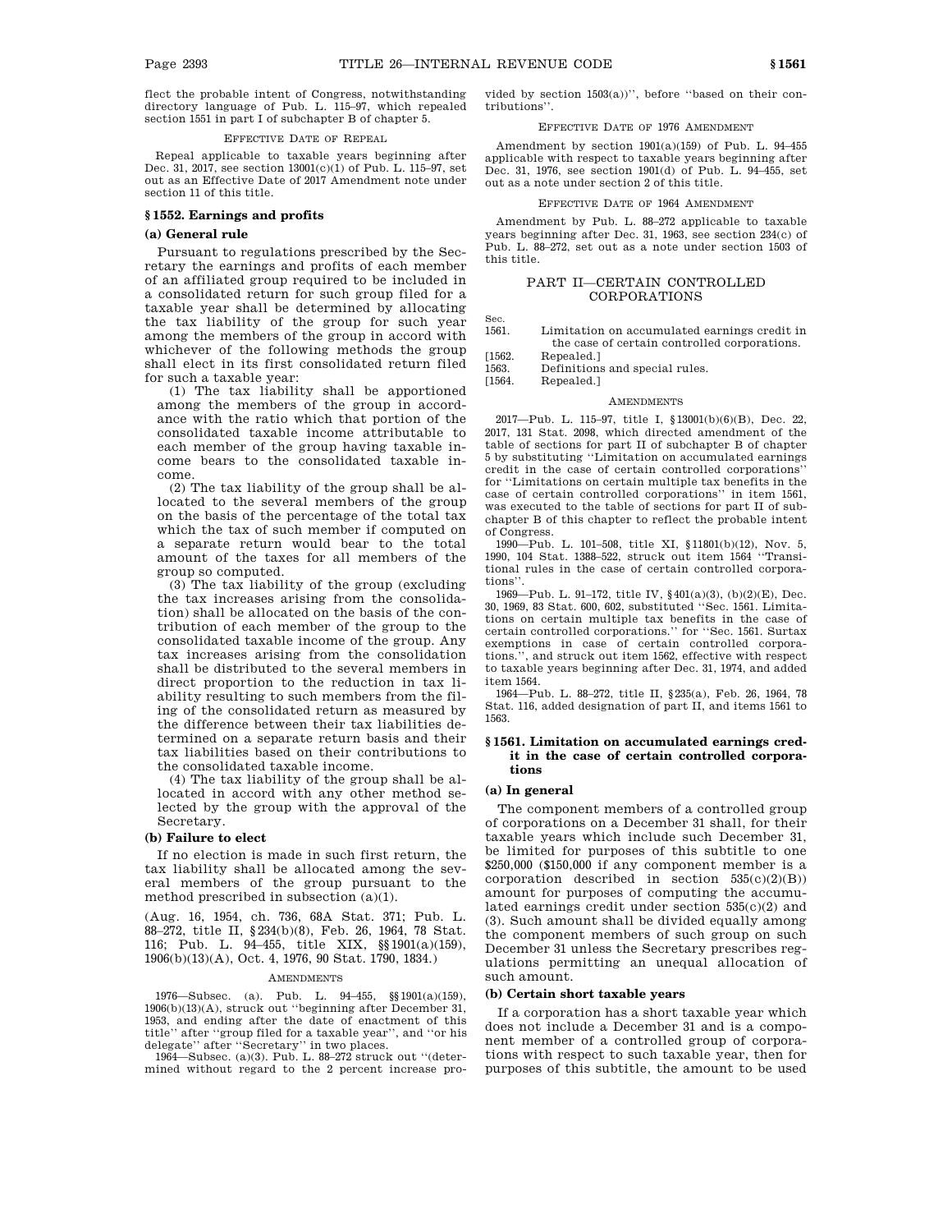flect the probable intent of Congress, notwithstanding directory language of Pub. L. 115–97, which repealed section 1551 in part I of subchapter B of chapter 5.

#### EFFECTIVE DATE OF REPEAL

Repeal applicable to taxable years beginning after Dec. 31, 2017, see section 13001(c)(1) of Pub. L. 115–97, set out as an Effective Date of 2017 Amendment note under section 11 of this title.

#### **§ 1552. Earnings and profits**

#### **(a) General rule**

Pursuant to regulations prescribed by the Secretary the earnings and profits of each member of an affiliated group required to be included in a consolidated return for such group filed for a taxable year shall be determined by allocating the tax liability of the group for such year among the members of the group in accord with whichever of the following methods the group shall elect in its first consolidated return filed for such a taxable year:

(1) The tax liability shall be apportioned among the members of the group in accordance with the ratio which that portion of the consolidated taxable income attributable to each member of the group having taxable income bears to the consolidated taxable income.

(2) The tax liability of the group shall be allocated to the several members of the group on the basis of the percentage of the total tax which the tax of such member if computed on a separate return would bear to the total amount of the taxes for all members of the group so computed.

(3) The tax liability of the group (excluding the tax increases arising from the consolidation) shall be allocated on the basis of the contribution of each member of the group to the consolidated taxable income of the group. Any tax increases arising from the consolidation shall be distributed to the several members in direct proportion to the reduction in tax liability resulting to such members from the filing of the consolidated return as measured by the difference between their tax liabilities determined on a separate return basis and their tax liabilities based on their contributions to the consolidated taxable income.

(4) The tax liability of the group shall be allocated in accord with any other method selected by the group with the approval of the Secretary.

### **(b) Failure to elect**

If no election is made in such first return, the tax liability shall be allocated among the several members of the group pursuant to the method prescribed in subsection (a)(1).

(Aug. 16, 1954, ch. 736, 68A Stat. 371; Pub. L. 88–272, title II, §234(b)(8), Feb. 26, 1964, 78 Stat. 116; Pub. L. 94–455, title XIX, §§1901(a)(159), 1906(b)(13)(A), Oct. 4, 1976, 90 Stat. 1790, 1834.)

#### AMENDMENTS

1976—Subsec. (a). Pub. L. 94–455, §§1901(a)(159), 1906(b)(13)(A), struck out ''beginning after December 31, 1953, and ending after the date of enactment of this title'' after ''group filed for a taxable year'', and ''or his

delegate'' after ''Secretary'' in two places. 1964—Subsec. (a)(3). Pub. L. 88–272 struck out ''(determined without regard to the 2 percent increase provided by section 1503(a))'', before ''based on their contributions''.

### EFFECTIVE DATE OF 1976 AMENDMENT

Amendment by section 1901(a)(159) of Pub. L. 94–455 applicable with respect to taxable years beginning after Dec. 31, 1976, see section 1901(d) of Pub. L. 94–455, set out as a note under section 2 of this title.

#### EFFECTIVE DATE OF 1964 AMENDMENT

Amendment by Pub. L. 88–272 applicable to taxable years beginning after Dec. 31, 1963, see section 234(c) of Pub. L. 88–272, set out as a note under section 1503 of this title.

### PART II—CERTAIN CONTROLLED CORPORATIONS

Sec.

- 1561. Limitation on accumulated earnings credit in the case of certain controlled corporations.
- [1562. Repealed.]<br>1563. Definitions

Definitions and special rules.

[1564. Repealed.]

#### **AMENDMENTS**

2017—Pub. L. 115–97, title I, §13001(b)(6)(B), Dec. 22, 2017, 131 Stat. 2098, which directed amendment of the table of sections for part II of subchapter B of chapter 5 by substituting ''Limitation on accumulated earnings credit in the case of certain controlled corporations'' for ''Limitations on certain multiple tax benefits in the case of certain controlled corporations'' in item 1561, was executed to the table of sections for part II of subchapter B of this chapter to reflect the probable intent of Congress.

1990—Pub. L. 101–508, title XI, §11801(b)(12), Nov. 5, 1990, 104 Stat. 1388–522, struck out item 1564 ''Transitional rules in the case of certain controlled corporations''.

1969—Pub. L. 91–172, title IV, §401(a)(3), (b)(2)(E), Dec. 30, 1969, 83 Stat. 600, 602, substituted ''Sec. 1561. Limitations on certain multiple tax benefits in the case of certain controlled corporations.'' for ''Sec. 1561. Surtax exemptions in case of certain controlled corporations.'', and struck out item 1562, effective with respect to taxable years beginning after Dec. 31, 1974, and added item 1564.

1964—Pub. L. 88–272, title II, §235(a), Feb. 26, 1964, 78 Stat. 116, added designation of part II, and items 1561 to 1563.

#### **§ 1561. Limitation on accumulated earnings credit in the case of certain controlled corporations**

#### **(a) In general**

The component members of a controlled group of corporations on a December 31 shall, for their taxable years which include such December 31, be limited for purposes of this subtitle to one \$250,000 (\$150,000 if any component member is a corporation described in section  $535(c)(2)(B)$ ) amount for purposes of computing the accumulated earnings credit under section 535(c)(2) and (3). Such amount shall be divided equally among the component members of such group on such December 31 unless the Secretary prescribes regulations permitting an unequal allocation of such amount.

#### **(b) Certain short taxable years**

If a corporation has a short taxable year which does not include a December 31 and is a component member of a controlled group of corporations with respect to such taxable year, then for purposes of this subtitle, the amount to be used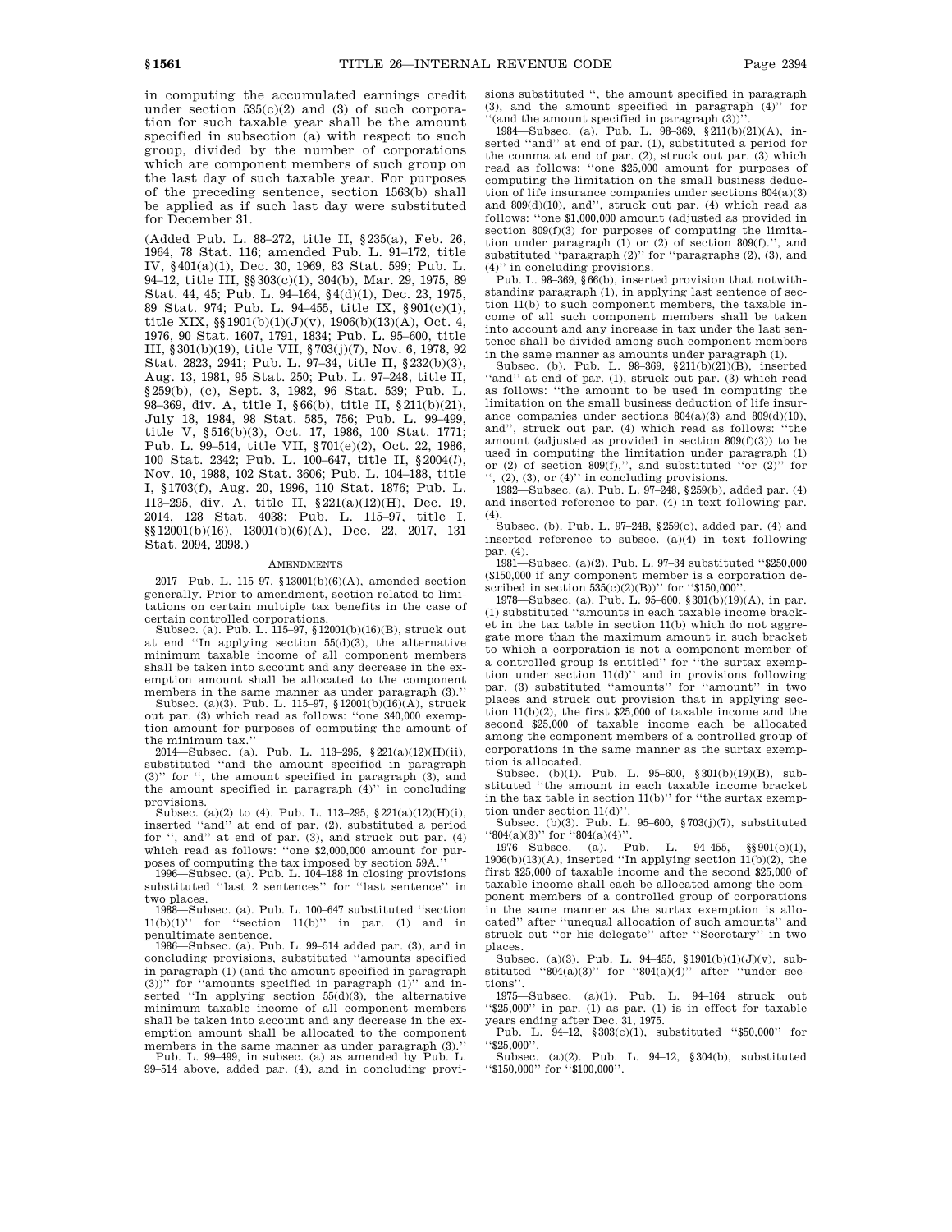in computing the accumulated earnings credit under section 535(c)(2) and (3) of such corporation for such taxable year shall be the amount specified in subsection (a) with respect to such group, divided by the number of corporations which are component members of such group on the last day of such taxable year. For purposes of the preceding sentence, section 1563(b) shall be applied as if such last day were substituted for December 31.

(Added Pub. L. 88–272, title II, §235(a), Feb. 26, 1964, 78 Stat. 116; amended Pub. L. 91–172, title IV, §401(a)(1), Dec. 30, 1969, 83 Stat. 599; Pub. L. 94–12, title III, §§303(c)(1), 304(b), Mar. 29, 1975, 89 Stat. 44, 45; Pub. L. 94–164, §4(d)(1), Dec. 23, 1975, 89 Stat. 974; Pub. L. 94–455, title IX, §901(c)(1), title XIX, §§1901(b)(1)(J)(v), 1906(b)(13)(A), Oct. 4, 1976, 90 Stat. 1607, 1791, 1834; Pub. L. 95–600, title III, §301(b)(19), title VII, §703(j)(7), Nov. 6, 1978, 92 Stat. 2823, 2941; Pub. L. 97–34, title II, §232(b)(3), Aug. 13, 1981, 95 Stat. 250; Pub. L. 97–248, title II, §259(b), (c), Sept. 3, 1982, 96 Stat. 539; Pub. L. 98–369, div. A, title I, §66(b), title II, §211(b)(21), July 18, 1984, 98 Stat. 585, 756; Pub. L. 99–499, title V, §516(b)(3), Oct. 17, 1986, 100 Stat. 1771; Pub. L. 99–514, title VII, §701(e)(2), Oct. 22, 1986, 100 Stat. 2342; Pub. L. 100–647, title II, §2004(*l*), Nov. 10, 1988, 102 Stat. 3606; Pub. L. 104–188, title I, §1703(f), Aug. 20, 1996, 110 Stat. 1876; Pub. L. 113–295, div. A, title II, §221(a)(12)(H), Dec. 19, 2014, 128 Stat. 4038; Pub. L. 115–97, title I, §§12001(b)(16), 13001(b)(6)(A), Dec. 22, 2017, 131 Stat. 2094, 2098.)

#### AMENDMENTS

2017—Pub. L. 115–97, §13001(b)(6)(A), amended section generally. Prior to amendment, section related to limitations on certain multiple tax benefits in the case of

certain controlled corporations. Subsec. (a). Pub. L. 115–97, §12001(b)(16)(B), struck out at end ''In applying section 55(d)(3), the alternative minimum taxable income of all component members shall be taken into account and any decrease in the exemption amount shall be allocated to the component

members in the same manner as under paragraph (3).'' Subsec. (a)(3). Pub. L. 115–97, §12001(b)(16)(A), struck out par. (3) which read as follows: ''one \$40,000 exemption amount for purposes of computing the amount of the minimum tax.''

 $2014$ —Subsec. (a). Pub. L. 113–295,  $221(a)(12)(H)(ii)$ , substituted ''and the amount specified in paragraph (3)'' for '', the amount specified in paragraph (3), and the amount specified in paragraph (4)'' in concluding provisions.

Subsec. (a)(2) to (4). Pub. L. 113-295,  $221(a)(12)(H)(i)$ , inserted ''and'' at end of par. (2), substituted a period for '', and'' at end of par. (3), and struck out par. (4) which read as follows: ''one \$2,000,000 amount for purposes of computing the tax imposed by section 59A.''

1996—Subsec. (a). Pub. L. 104–188 in closing provisions substituted "last 2 sentences" for "last sentence" two places.

1988—Subsec. (a). Pub. L. 100–647 substituted ''section  $11(b)(1)$ " for "section  $11(b)$ " in par. (1) and in penultimate sentence.

1986—Subsec. (a). Pub. L. 99–514 added par. (3), and in concluding provisions, substituted ''amounts specified in paragraph (1) (and the amount specified in paragraph (3))'' for ''amounts specified in paragraph (1)'' and inserted ''In applying section 55(d)(3), the alternative minimum taxable income of all component members shall be taken into account and any decrease in the exemption amount shall be allocated to the component members in the same manner as under paragraph (3).'' Pub. L. 99–499, in subsec. (a) as amended by Pub. L.

99–514 above, added par. (4), and in concluding provi-

sions substituted '', the amount specified in paragraph (3), and the amount specified in paragraph (4)'' for  $\left($  (and the amount specified in paragraph (3))<sup>7</sup>.

1984—Subsec. (a). Pub. L.  $98-369, \ \frac{211(b)(21)(A)}{b}$ , inserted ''and'' at end of par. (1), substituted a period for the comma at end of par. (2), struck out par. (3) which read as follows: ''one \$25,000 amount for purposes of computing the limitation on the small business deduction of life insurance companies under sections 804(a)(3) and 809(d)(10), and'', struck out par. (4) which read as follows: ''one \$1,000,000 amount (adjusted as provided in section  $809(f)(3)$  for purposes of computing the limitation under paragraph  $(1)$  or  $(2)$  of section 809 $(f)$ .", and substituted ''paragraph (2)'' for ''paragraphs (2), (3), and (4)'' in concluding provisions.

Pub. L. 98–369, §66(b), inserted provision that notwithstanding paragraph (1), in applying last sentence of section 11(b) to such component members, the taxable income of all such component members shall be taken into account and any increase in tax under the last sentence shall be divided among such component members in the same manner as amounts under paragraph (1).

Subsec. (b). Pub. L. 98–369, §211(b)(21)(B), inserted "and" at end of par. (1), struck out par. (3) which read as follows: ''the amount to be used in computing the limitation on the small business deduction of life insurance companies under sections  $804(a)(3)$  and  $809(d)(10)$ . and'', struck out par. (4) which read as follows: ''the amount (adjusted as provided in section  $809(f)(3)$ ) to be used in computing the limitation under paragraph (1) or  $(2)$  of section  $809(f)$ ,", and substituted "or  $(2)$ " for

'', (2), (3), or (4)'' in concluding provisions. 1982—Subsec. (a). Pub. L. 97–248, §259(b), added par. (4) and inserted reference to par. (4) in text following par.

(4). Subsec. (b). Pub. L. 97–248, §259(c), added par. (4) and inserted reference to subsec. (a)(4) in text following par. (4).

1981—Subsec. (a)(2). Pub. L. 97–34 substituted ''\$250,000 (\$150,000 if any component member is a corporation described in section  $535(c)(2)(B)$ " for "\$150,000"

1978—Subsec. (a). Pub. L. 95–600, §301(b)(19)(A), in par. (1) substituted ''amounts in each taxable income bracket in the tax table in section 11(b) which do not aggregate more than the maximum amount in such bracket to which a corporation is not a component member of a controlled group is entitled'' for ''the surtax exemption under section 11(d)'' and in provisions following par. (3) substituted ''amounts'' for ''amount'' in two places and struck out provision that in applying section 11(b)(2), the first \$25,000 of taxable income and the second \$25,000 of taxable income each be allocated among the component members of a controlled group of corporations in the same manner as the surtax exemption is allocated.

Subsec. (b)(1). Pub. L. 95–600, §301(b)(19)(B), substituted ''the amount in each taxable income bracket in the tax table in section 11(b)'' for ''the surtax exemption under section 11(d)''.

Subsec. (b)(3). Pub. L. 95–600, §703(j)(7), substituted "804(a)(3)" for "804(a)(4)".

1976—Subsec. (a). Pub. L. 94–455, §§901(c)(1),  $1906(b)(13)(A)$ , inserted "In applying section  $11(b)(2)$ , the first \$25,000 of taxable income and the second \$25,000 of taxable income shall each be allocated among the component members of a controlled group of corporations in the same manner as the surtax exemption is allocated'' after ''unequal allocation of such amounts'' and struck out ''or his delegate'' after ''Secretary'' in two places.

Subsec. (a)(3). Pub. L. 94–455, §1901(b)(1)(J)(v), substituted " $804(a)(3)$ " for " $804(a)(4)$ " after "under sections''.

1975—Subsec. (a)(1). Pub. L. 94–164 struck out ''\$25,000'' in par. (1) as par. (1) is in effect for taxable years ending after Dec. 31, 1975.

Pub. L. 94–12, §303(c)(1), substituted ''\$50,000'' for  $\$25,000"$ .

Subsec. (a)(2). Pub. L.  $94-12$ ,  $8304(b)$ , substituted "\$150,000" for "\$100,000".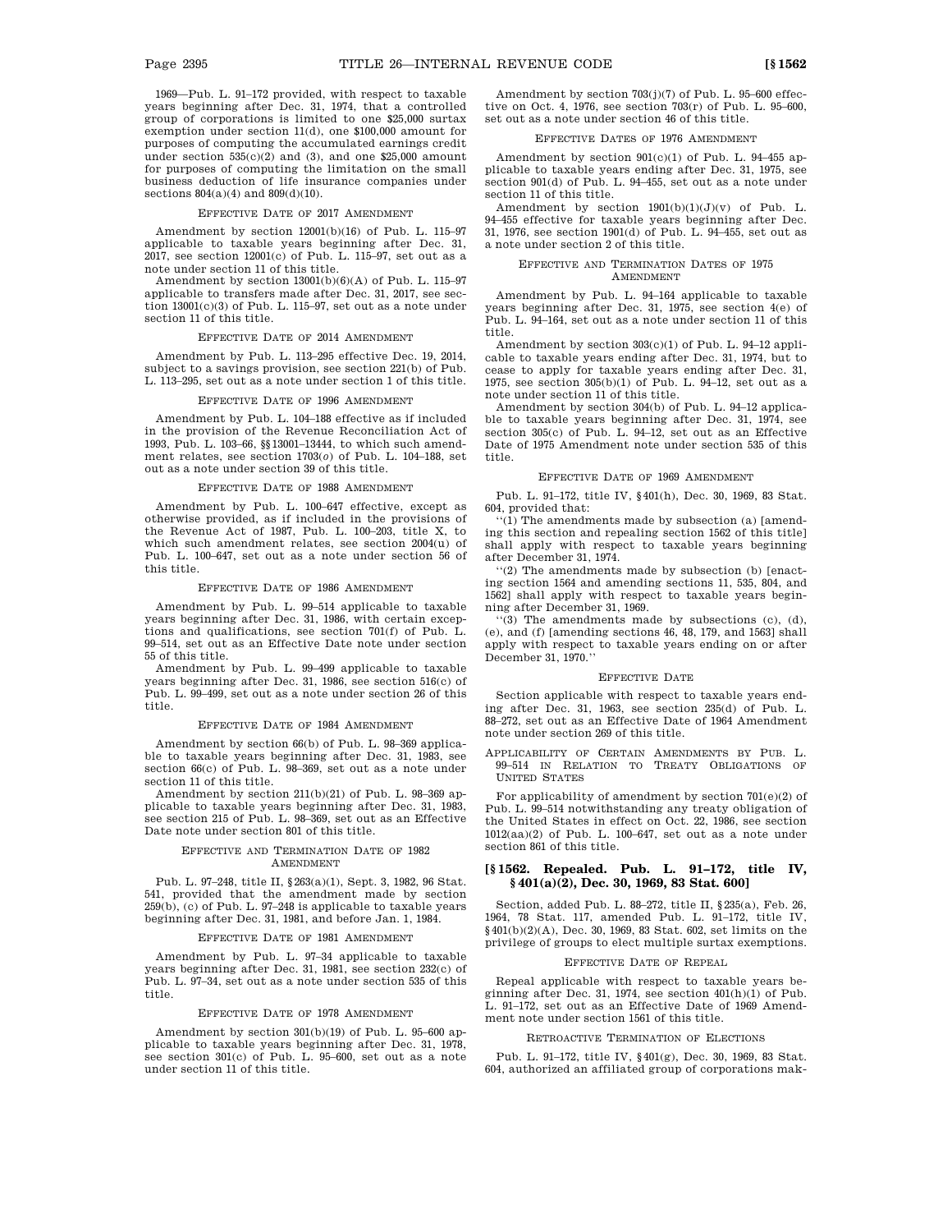1969—Pub. L. 91–172 provided, with respect to taxable years beginning after Dec. 31, 1974, that a controlled group of corporations is limited to one \$25,000 surtax exemption under section 11(d), one \$100,000 amount for purposes of computing the accumulated earnings credit under section  $535(c)(2)$  and (3), and one \$25,000 amount for purposes of computing the limitation on the small business deduction of life insurance companies under sections  $804(a)(4)$  and  $809(d)(10)$ .

#### EFFECTIVE DATE OF 2017 AMENDMENT

Amendment by section 12001(b)(16) of Pub. L. 115–97 applicable to taxable years beginning after Dec. 31,  $2017$ , see section  $12001(c)$  of Pub. L.  $115-97$ , set out as a note under section 11 of this title.

Amendment by section  $13001(b)(6)(A)$  of Pub. L. 115–97 applicable to transfers made after Dec. 31, 2017, see section 13001(c)(3) of Pub. L. 115–97, set out as a note under section 11 of this title.

#### EFFECTIVE DATE OF 2014 AMENDMENT

Amendment by Pub. L. 113–295 effective Dec. 19, 2014, subject to a savings provision, see section 221(b) of Pub. L. 113–295, set out as a note under section 1 of this title.

#### EFFECTIVE DATE OF 1996 AMENDMENT

Amendment by Pub. L. 104–188 effective as if included in the provision of the Revenue Reconciliation Act of 1993, Pub. L. 103–66, §§13001–13444, to which such amendment relates, see section 1703(*o*) of Pub. L. 104–188, set out as a note under section 39 of this title.

#### EFFECTIVE DATE OF 1988 AMENDMENT

Amendment by Pub. L. 100–647 effective, except as otherwise provided, as if included in the provisions of the Revenue Act of 1987, Pub. L. 100–203, title X, to which such amendment relates, see section 2004(u) of Pub. L. 100–647, set out as a note under section 56 of this title.

### EFFECTIVE DATE OF 1986 AMENDMENT

Amendment by Pub. L. 99–514 applicable to taxable years beginning after Dec. 31, 1986, with certain exceptions and qualifications, see section 701(f) of Pub. L. 99–514, set out as an Effective Date note under section 55 of this title.

Amendment by Pub. L. 99–499 applicable to taxable years beginning after Dec. 31, 1986, see section 516(c) of Pub. L. 99–499, set out as a note under section 26 of this title.

#### EFFECTIVE DATE OF 1984 AMENDMENT

Amendment by section 66(b) of Pub. L. 98–369 applicable to taxable years beginning after Dec. 31, 1983, see section 66(c) of Pub. L. 98–369, set out as a note under section 11 of this title.

Amendment by section 211(b)(21) of Pub. L. 98–369 applicable to taxable years beginning after Dec. 31, 1983, see section 215 of Pub. L. 98–369, set out as an Effective Date note under section 801 of this title.

#### EFFECTIVE AND TERMINATION DATE OF 1982 AMENDMENT

Pub. L. 97–248, title II, §263(a)(1), Sept. 3, 1982, 96 Stat. 541, provided that the amendment made by section 259(b), (c) of Pub. L. 97–248 is applicable to taxable years beginning after Dec. 31, 1981, and before Jan. 1, 1984.

#### EFFECTIVE DATE OF 1981 AMENDMENT

Amendment by Pub. L. 97–34 applicable to taxable years beginning after Dec. 31, 1981, see section 232(c) of Pub. L. 97–34, set out as a note under section 535 of this title.

#### EFFECTIVE DATE OF 1978 AMENDMENT

Amendment by section 301(b)(19) of Pub. L. 95–600 applicable to taxable years beginning after Dec. 31, 1978, see section 301(c) of Pub. L. 95–600, set out as a note under section 11 of this title.

Amendment by section 703(j)(7) of Pub. L. 95–600 effective on Oct. 4, 1976, see section 703(r) of Pub. L. 95–600, set out as a note under section 46 of this title.

#### EFFECTIVE DATES OF 1976 AMENDMENT

Amendment by section  $901(c)(1)$  of Pub. L. 94–455 applicable to taxable years ending after Dec. 31, 1975, see section 901(d) of Pub. L. 94–455, set out as a note under section 11 of this title.

Amendment by section  $1901(b)(1)(J)(v)$  of Pub. L. 94–455 effective for taxable years beginning after Dec. 31, 1976, see section 1901(d) of Pub. L. 94–455, set out as a note under section 2 of this title.

#### EFFECTIVE AND TERMINATION DATES OF 1975 AMENDMENT

Amendment by Pub. L. 94–164 applicable to taxable years beginning after Dec. 31, 1975, see section 4(e) of Pub. L. 94–164, set out as a note under section 11 of this title.

Amendment by section 303(c)(1) of Pub. L. 94–12 applicable to taxable years ending after Dec. 31, 1974, but to cease to apply for taxable years ending after Dec. 31, 1975, see section  $305(b)(1)$  of Pub. L. 94–12, set out as a note under section 11 of this title.

Amendment by section 304(b) of Pub. L. 94–12 applicable to taxable years beginning after Dec. 31, 1974, see section 305(c) of Pub. L. 94–12, set out as an Effective Date of 1975 Amendment note under section 535 of this title.

#### EFFECTIVE DATE OF 1969 AMENDMENT

Pub. L. 91–172, title IV, §401(h), Dec. 30, 1969, 83 Stat. 604, provided that:

 $''(1)$  The amendments made by subsection (a) [amending this section and repealing section 1562 of this title] shall apply with respect to taxable years beginning after December 31, 1974.

''(2) The amendments made by subsection (b) [enacting section 1564 and amending sections 11, 535, 804, and 1562] shall apply with respect to taxable years beginning after December 31, 1969.

''(3) The amendments made by subsections (c), (d), (e), and (f) [amending sections 46, 48, 179, and 1563] shall apply with respect to taxable years ending on or after December 31, 1970.''

#### EFFECTIVE DATE

Section applicable with respect to taxable years ending after Dec. 31, 1963, see section 235(d) of Pub. L. 88–272, set out as an Effective Date of 1964 Amendment note under section 269 of this title.

APPLICABILITY OF CERTAIN AMENDMENTS BY PUB. L. 99–514 IN RELATION TO TREATY OBLIGATIONS OF UNITED STATES

For applicability of amendment by section 701(e)(2) of Pub. L. 99–514 notwithstanding any treaty obligation of the United States in effect on Oct. 22, 1986, see section 1012(aa)(2) of Pub. L. 100–647, set out as a note under section 861 of this title.

### **[§ 1562. Repealed. Pub. L. 91–172, title IV, § 401(a)(2), Dec. 30, 1969, 83 Stat. 600]**

Section, added Pub. L. 88–272, title II, §235(a), Feb. 26, 1964, 78 Stat. 117, amended Pub. L. 91–172, title IV,  $\S\,401({\rm b})(2)({\rm A}),$  Dec. 30, 1969, 83 Stat. 602, set limits on the privilege of groups to elect multiple surtax exemptions.

#### EFFECTIVE DATE OF REPEAL

Repeal applicable with respect to taxable years beginning after Dec. 31, 1974, see section 401(h)(1) of Pub. L. 91–172, set out as an Effective Date of 1969 Amendment note under section 1561 of this title.

#### RETROACTIVE TERMINATION OF ELECTIONS

Pub. L. 91–172, title IV, §401(g), Dec. 30, 1969, 83 Stat. 604, authorized an affiliated group of corporations mak-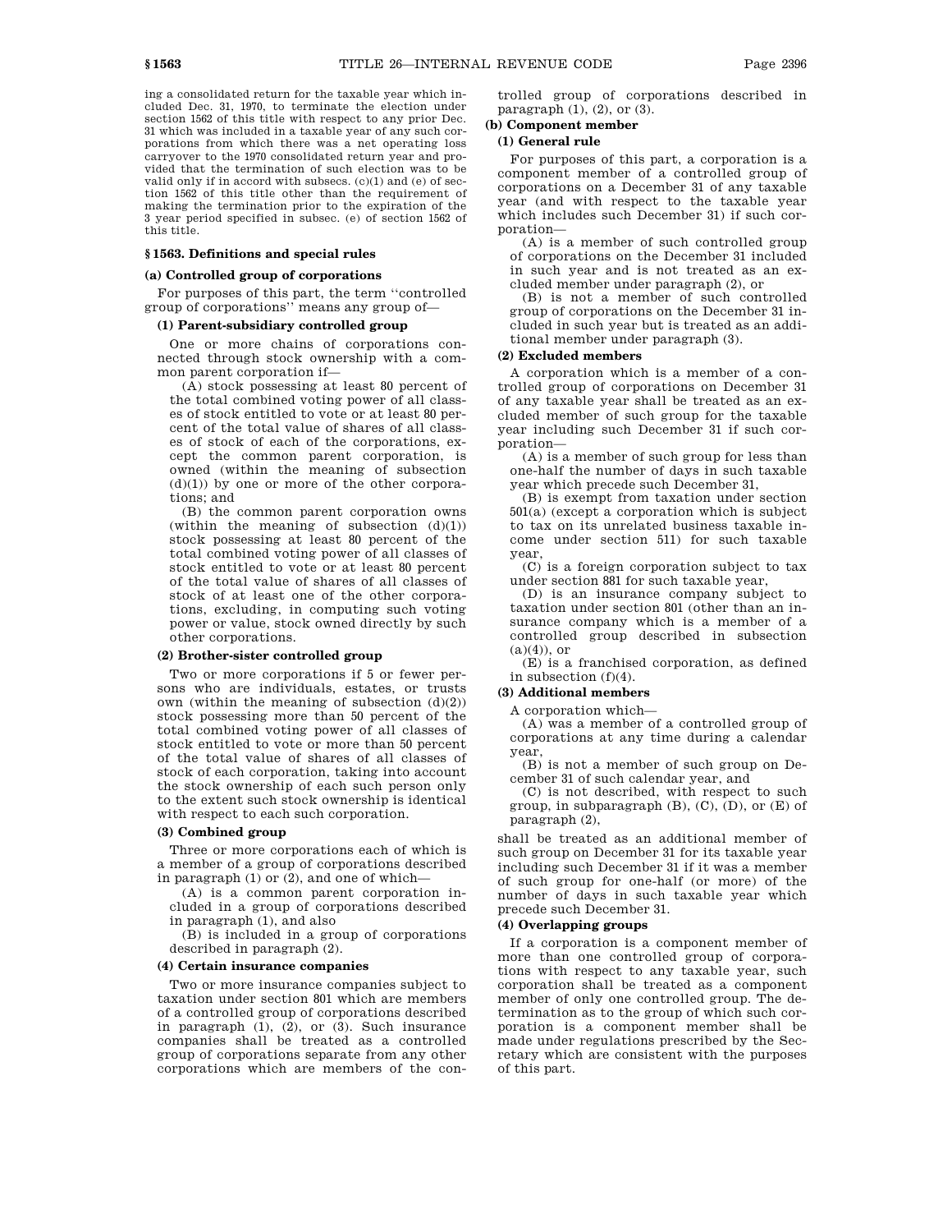ing a consolidated return for the taxable year which included Dec. 31, 1970, to terminate the election under section 1562 of this title with respect to any prior Dec. 31 which was included in a taxable year of any such corporations from which there was a net operating loss carryover to the 1970 consolidated return year and provided that the termination of such election was to be valid only if in accord with subsecs. (c)(1) and (e) of section 1562 of this title other than the requirement of making the termination prior to the expiration of the 3 year period specified in subsec. (e) of section 1562 of this title.

### **§ 1563. Definitions and special rules**

### **(a) Controlled group of corporations**

For purposes of this part, the term ''controlled group of corporations'' means any group of—

### **(1) Parent-subsidiary controlled group**

One or more chains of corporations connected through stock ownership with a common parent corporation if—

(A) stock possessing at least 80 percent of the total combined voting power of all classes of stock entitled to vote or at least 80 percent of the total value of shares of all classes of stock of each of the corporations, except the common parent corporation, is owned (within the meaning of subsection  $(d)(1)$  by one or more of the other corporations; and

(B) the common parent corporation owns (within the meaning of subsection  $(d)(1)$ ) stock possessing at least 80 percent of the total combined voting power of all classes of stock entitled to vote or at least 80 percent of the total value of shares of all classes of stock of at least one of the other corporations, excluding, in computing such voting power or value, stock owned directly by such other corporations.

### **(2) Brother-sister controlled group**

Two or more corporations if 5 or fewer persons who are individuals, estates, or trusts own (within the meaning of subsection  $(d)(2)$ ) stock possessing more than 50 percent of the total combined voting power of all classes of stock entitled to vote or more than 50 percent of the total value of shares of all classes of stock of each corporation, taking into account the stock ownership of each such person only to the extent such stock ownership is identical with respect to each such corporation.

#### **(3) Combined group**

Three or more corporations each of which is a member of a group of corporations described in paragraph (1) or (2), and one of which—

(A) is a common parent corporation included in a group of corporations described in paragraph (1), and also

(B) is included in a group of corporations described in paragraph (2).

### **(4) Certain insurance companies**

Two or more insurance companies subject to taxation under section 801 which are members of a controlled group of corporations described in paragraph (1), (2), or (3). Such insurance companies shall be treated as a controlled group of corporations separate from any other corporations which are members of the controlled group of corporations described in paragraph  $(1)$ ,  $(2)$ , or  $(3)$ .

### **(b) Component member**

### **(1) General rule**

For purposes of this part, a corporation is a component member of a controlled group of corporations on a December 31 of any taxable year (and with respect to the taxable year which includes such December 31) if such corporation—

(A) is a member of such controlled group of corporations on the December 31 included in such year and is not treated as an excluded member under paragraph (2), or

(B) is not a member of such controlled group of corporations on the December 31 included in such year but is treated as an additional member under paragraph (3).

### **(2) Excluded members**

A corporation which is a member of a controlled group of corporations on December 31 of any taxable year shall be treated as an excluded member of such group for the taxable year including such December 31 if such corporation—

(A) is a member of such group for less than one-half the number of days in such taxable year which precede such December 31,

(B) is exempt from taxation under section 501(a) (except a corporation which is subject to tax on its unrelated business taxable income under section 511) for such taxable year,

(C) is a foreign corporation subject to tax under section 881 for such taxable year,

(D) is an insurance company subject to taxation under section 801 (other than an insurance company which is a member of a controlled group described in subsection  $(a)(4)$ , or

(E) is a franchised corporation, as defined in subsection (f)(4).

### **(3) Additional members**

A corporation which—

(A) was a member of a controlled group of corporations at any time during a calendar year,

(B) is not a member of such group on December 31 of such calendar year, and

(C) is not described, with respect to such group, in subparagraph  $(B)$ ,  $(C)$ ,  $(D)$ , or  $(E)$  of paragraph (2),

shall be treated as an additional member of such group on December 31 for its taxable year including such December 31 if it was a member of such group for one-half (or more) of the number of days in such taxable year which precede such December 31.

#### **(4) Overlapping groups**

If a corporation is a component member of more than one controlled group of corporations with respect to any taxable year, such corporation shall be treated as a component member of only one controlled group. The determination as to the group of which such corporation is a component member shall be made under regulations prescribed by the Secretary which are consistent with the purposes of this part.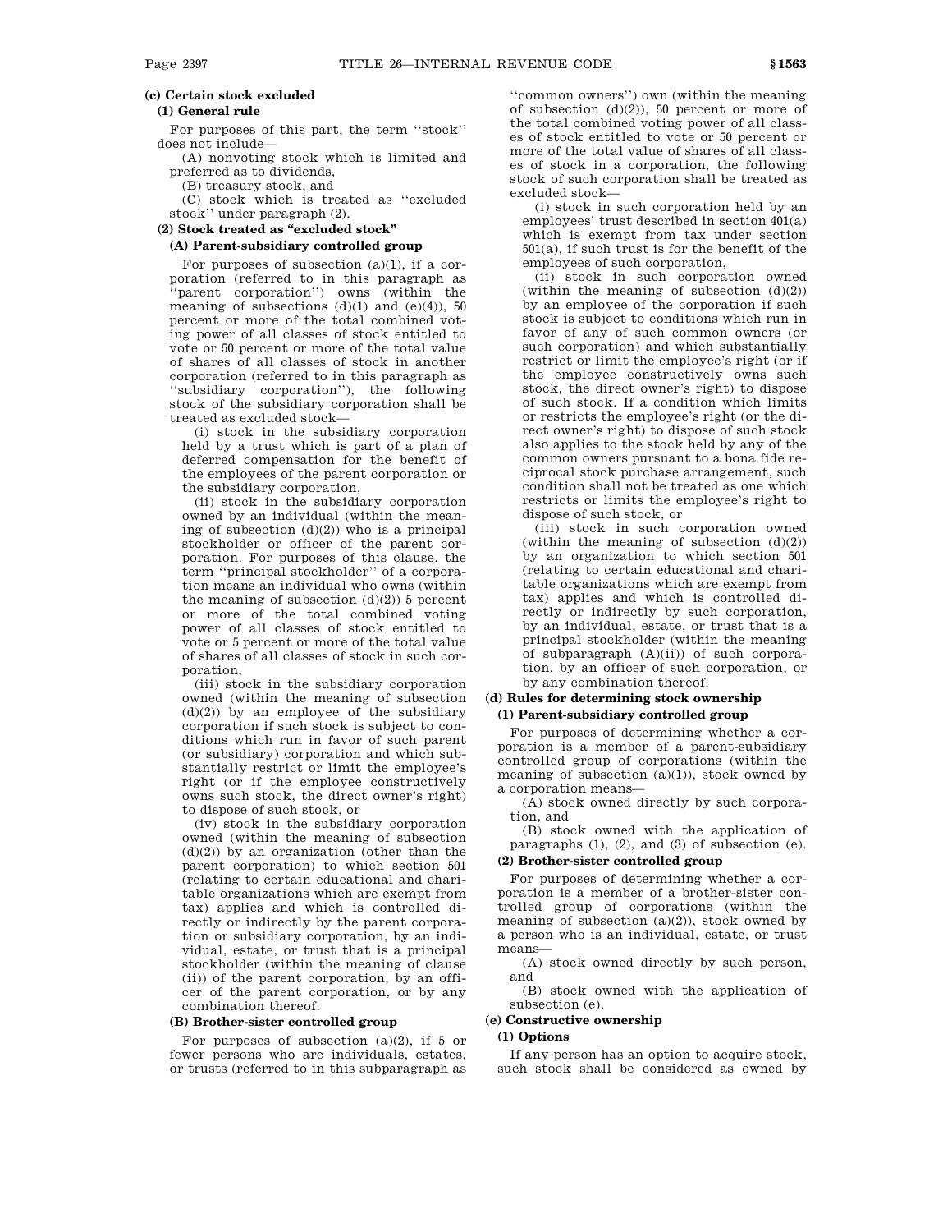### **(c) Certain stock excluded**

### **(1) General rule**

For purposes of this part, the term ''stock'' does not include—

(A) nonvoting stock which is limited and preferred as to dividends,

(B) treasury stock, and

(C) stock which is treated as ''excluded stock'' under paragraph (2).

### **(2) Stock treated as ''excluded stock''**

### **(A) Parent-subsidiary controlled group**

For purposes of subsection (a)(1), if a corporation (referred to in this paragraph as ''parent corporation'') owns (within the meaning of subsections  $(d)(1)$  and  $(e)(4)$ , 50 percent or more of the total combined voting power of all classes of stock entitled to vote or 50 percent or more of the total value of shares of all classes of stock in another corporation (referred to in this paragraph as ''subsidiary corporation''), the following stock of the subsidiary corporation shall be treated as excluded stock—

(i) stock in the subsidiary corporation held by a trust which is part of a plan of deferred compensation for the benefit of the employees of the parent corporation or the subsidiary corporation,

(ii) stock in the subsidiary corporation owned by an individual (within the meaning of subsection  $(d)(2)$ ) who is a principal stockholder or officer of the parent corporation. For purposes of this clause, the term ''principal stockholder'' of a corporation means an individual who owns (within the meaning of subsection  $(d)(2)$  5 percent or more of the total combined voting power of all classes of stock entitled to vote or 5 percent or more of the total value of shares of all classes of stock in such corporation,

(iii) stock in the subsidiary corporation owned (within the meaning of subsection  $(d)(2)$  by an employee of the subsidiary corporation if such stock is subject to conditions which run in favor of such parent (or subsidiary) corporation and which substantially restrict or limit the employee's right (or if the employee constructively owns such stock, the direct owner's right) to dispose of such stock, or

(iv) stock in the subsidiary corporation owned (within the meaning of subsection  $(d)(2)$  by an organization (other than the parent corporation) to which section 501 (relating to certain educational and charitable organizations which are exempt from tax) applies and which is controlled directly or indirectly by the parent corporation or subsidiary corporation, by an individual, estate, or trust that is a principal stockholder (within the meaning of clause (ii)) of the parent corporation, by an officer of the parent corporation, or by any combination thereof.

#### **(B) Brother-sister controlled group**

For purposes of subsection  $(a)(2)$ , if 5 or fewer persons who are individuals, estates, or trusts (referred to in this subparagraph as

''common owners'') own (within the meaning of subsection (d)(2)), 50 percent or more of the total combined voting power of all classes of stock entitled to vote or 50 percent or more of the total value of shares of all classes of stock in a corporation, the following stock of such corporation shall be treated as excluded stock—

(i) stock in such corporation held by an employees' trust described in section 401(a) which is exempt from tax under section 501(a), if such trust is for the benefit of the employees of such corporation,

(ii) stock in such corporation owned (within the meaning of subsection  $(d)(2)$ ) by an employee of the corporation if such stock is subject to conditions which run in favor of any of such common owners (or such corporation) and which substantially restrict or limit the employee's right (or if the employee constructively owns such stock, the direct owner's right) to dispose of such stock. If a condition which limits or restricts the employee's right (or the direct owner's right) to dispose of such stock also applies to the stock held by any of the common owners pursuant to a bona fide reciprocal stock purchase arrangement, such condition shall not be treated as one which restricts or limits the employee's right to dispose of such stock, or

(iii) stock in such corporation owned (within the meaning of subsection  $(d)(2)$ ) by an organization to which section 501 (relating to certain educational and charitable organizations which are exempt from tax) applies and which is controlled directly or indirectly by such corporation, by an individual, estate, or trust that is a principal stockholder (within the meaning of subparagraph  $(A)(ii)$  of such corporation, by an officer of such corporation, or by any combination thereof.

### **(d) Rules for determining stock ownership (1) Parent-subsidiary controlled group**

For purposes of determining whether a corporation is a member of a parent-subsidiary controlled group of corporations (within the meaning of subsection  $(a)(1)$ ), stock owned by a corporation means—

(A) stock owned directly by such corporation, and

(B) stock owned with the application of paragraphs (1), (2), and (3) of subsection (e).

### **(2) Brother-sister controlled group**

For purposes of determining whether a corporation is a member of a brother-sister controlled group of corporations (within the meaning of subsection (a)(2)), stock owned by a person who is an individual, estate, or trust means—

(A) stock owned directly by such person, and

(B) stock owned with the application of subsection (e).

### **(e) Constructive ownership**

### **(1) Options**

If any person has an option to acquire stock, such stock shall be considered as owned by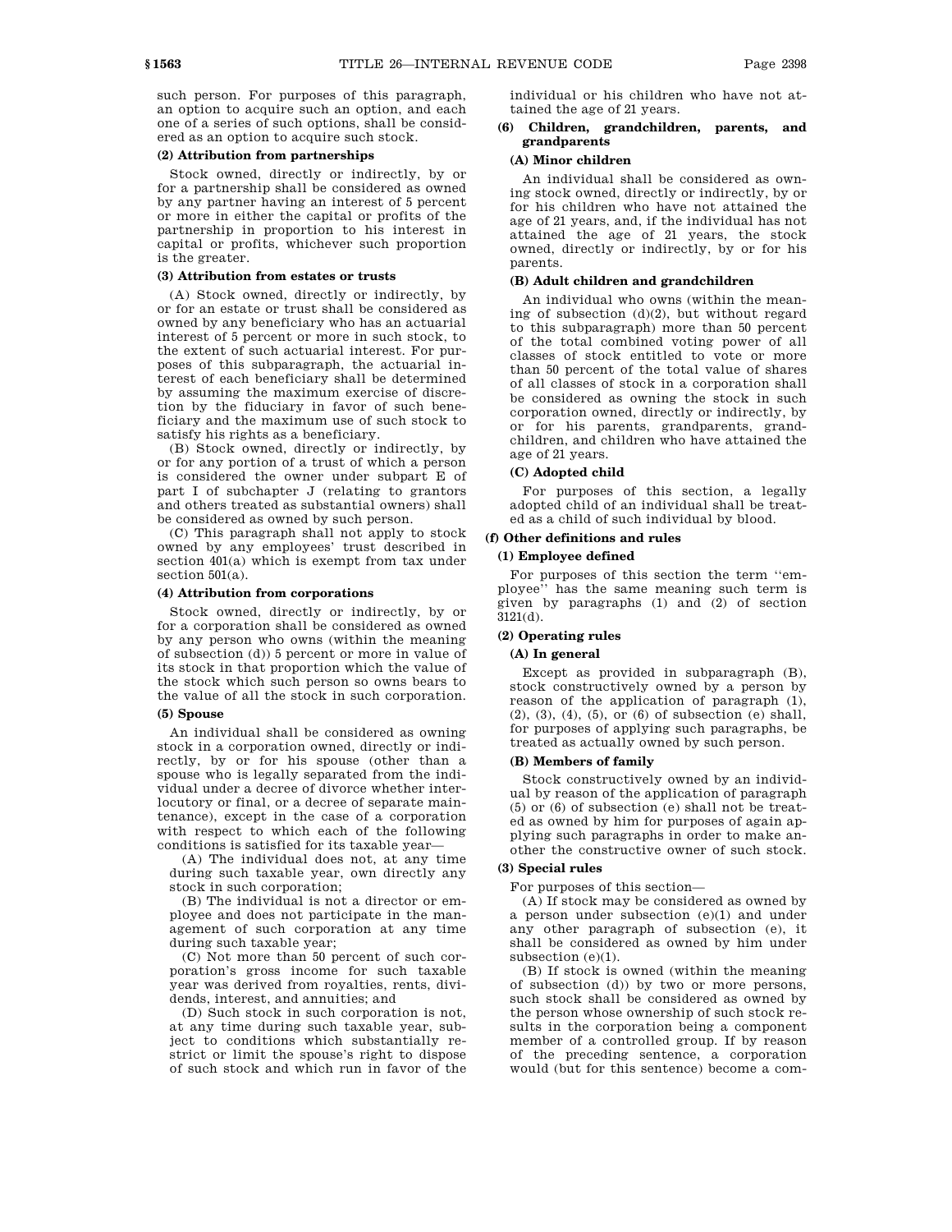such person. For purposes of this paragraph, an option to acquire such an option, and each one of a series of such options, shall be considered as an option to acquire such stock.

### **(2) Attribution from partnerships**

Stock owned, directly or indirectly, by or for a partnership shall be considered as owned by any partner having an interest of 5 percent or more in either the capital or profits of the partnership in proportion to his interest in capital or profits, whichever such proportion is the greater.

#### **(3) Attribution from estates or trusts**

(A) Stock owned, directly or indirectly, by or for an estate or trust shall be considered as owned by any beneficiary who has an actuarial interest of 5 percent or more in such stock, to the extent of such actuarial interest. For purposes of this subparagraph, the actuarial interest of each beneficiary shall be determined by assuming the maximum exercise of discretion by the fiduciary in favor of such beneficiary and the maximum use of such stock to satisfy his rights as a beneficiary.

(B) Stock owned, directly or indirectly, by or for any portion of a trust of which a person is considered the owner under subpart E of part I of subchapter J (relating to grantors and others treated as substantial owners) shall be considered as owned by such person.

(C) This paragraph shall not apply to stock owned by any employees' trust described in section 401(a) which is exempt from tax under section 501(a).

### **(4) Attribution from corporations**

Stock owned, directly or indirectly, by or for a corporation shall be considered as owned by any person who owns (within the meaning of subsection (d)) 5 percent or more in value of its stock in that proportion which the value of the stock which such person so owns bears to the value of all the stock in such corporation.

#### **(5) Spouse**

An individual shall be considered as owning stock in a corporation owned, directly or indirectly, by or for his spouse (other than a spouse who is legally separated from the individual under a decree of divorce whether interlocutory or final, or a decree of separate maintenance), except in the case of a corporation with respect to which each of the following conditions is satisfied for its taxable year—

(A) The individual does not, at any time during such taxable year, own directly any stock in such corporation;

(B) The individual is not a director or employee and does not participate in the management of such corporation at any time during such taxable year;

(C) Not more than 50 percent of such corporation's gross income for such taxable year was derived from royalties, rents, dividends, interest, and annuities; and

(D) Such stock in such corporation is not, at any time during such taxable year, subject to conditions which substantially restrict or limit the spouse's right to dispose of such stock and which run in favor of the

individual or his children who have not attained the age of 21 years.

### **(6) Children, grandchildren, parents, and grandparents**

### **(A) Minor children**

An individual shall be considered as owning stock owned, directly or indirectly, by or for his children who have not attained the age of 21 years, and, if the individual has not attained the age of 21 years, the stock owned, directly or indirectly, by or for his parents.

#### **(B) Adult children and grandchildren**

An individual who owns (within the meaning of subsection (d)(2), but without regard to this subparagraph) more than 50 percent of the total combined voting power of all classes of stock entitled to vote or more than 50 percent of the total value of shares of all classes of stock in a corporation shall be considered as owning the stock in such corporation owned, directly or indirectly, by or for his parents, grandparents, grandchildren, and children who have attained the age of 21 years.

### **(C) Adopted child**

For purposes of this section, a legally adopted child of an individual shall be treated as a child of such individual by blood.

### **(f) Other definitions and rules**

#### **(1) Employee defined**

For purposes of this section the term ''employee'' has the same meaning such term is given by paragraphs (1) and (2) of section 3121(d).

### **(2) Operating rules**

### **(A) In general**

Except as provided in subparagraph (B), stock constructively owned by a person by reason of the application of paragraph (1), (2), (3), (4), (5), or (6) of subsection (e) shall, for purposes of applying such paragraphs, be treated as actually owned by such person.

### **(B) Members of family**

Stock constructively owned by an individual by reason of the application of paragraph (5) or (6) of subsection (e) shall not be treated as owned by him for purposes of again applying such paragraphs in order to make another the constructive owner of such stock.

#### **(3) Special rules**

For purposes of this section—

(A) If stock may be considered as owned by a person under subsection (e)(1) and under any other paragraph of subsection (e), it shall be considered as owned by him under subsection (e)(1).

(B) If stock is owned (within the meaning of subsection (d)) by two or more persons, such stock shall be considered as owned by the person whose ownership of such stock results in the corporation being a component member of a controlled group. If by reason of the preceding sentence, a corporation would (but for this sentence) become a com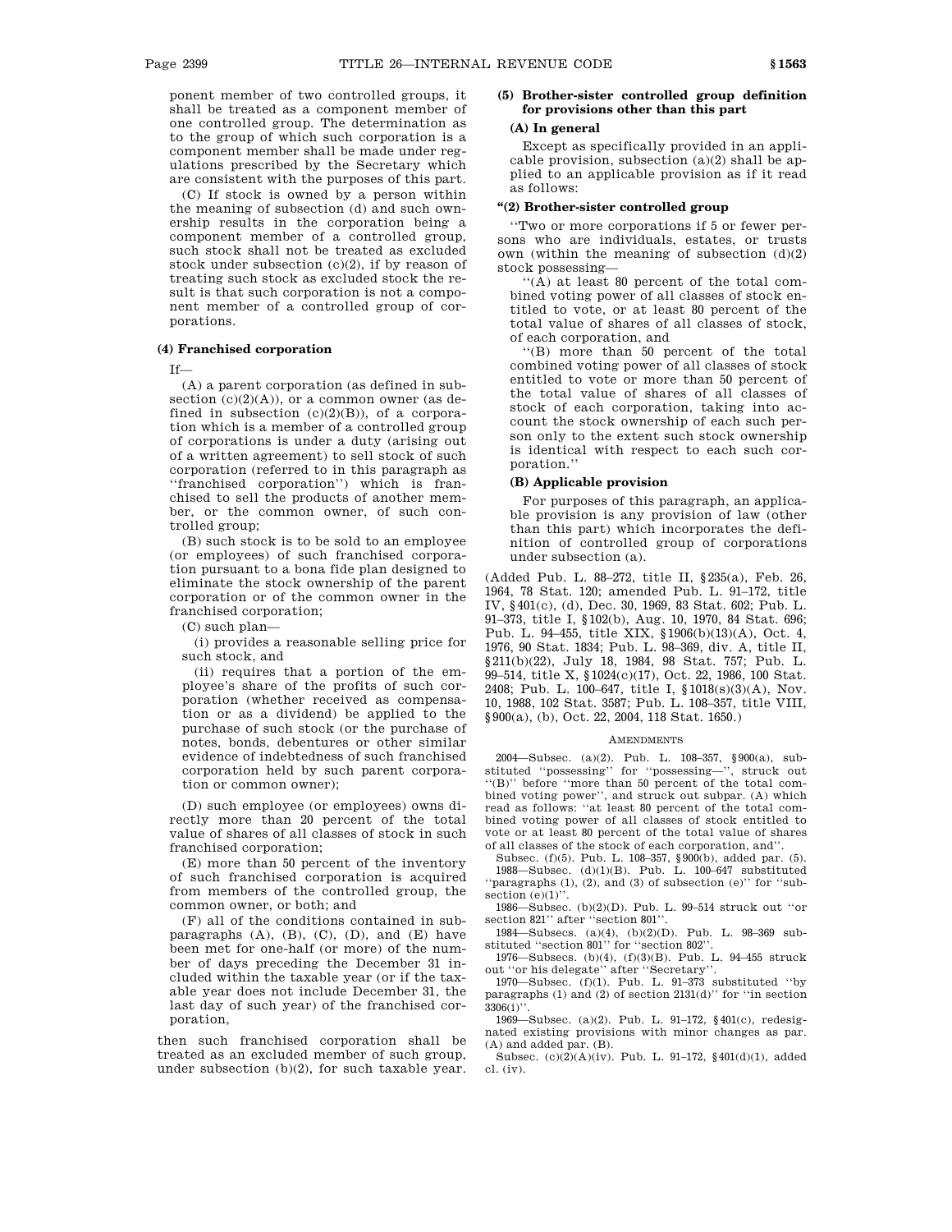ponent member of two controlled groups, it shall be treated as a component member of one controlled group. The determination as to the group of which such corporation is a component member shall be made under regulations prescribed by the Secretary which are consistent with the purposes of this part.

(C) If stock is owned by a person within the meaning of subsection (d) and such ownership results in the corporation being a component member of a controlled group, such stock shall not be treated as excluded stock under subsection (c)(2), if by reason of treating such stock as excluded stock the result is that such corporation is not a component member of a controlled group of corporations.

### **(4) Franchised corporation**

If—

(A) a parent corporation (as defined in subsection  $(c)(2)(A)$ ), or a common owner (as defined in subsection  $(c)(2)(B)$ , of a corporation which is a member of a controlled group of corporations is under a duty (arising out of a written agreement) to sell stock of such corporation (referred to in this paragraph as ''franchised corporation'') which is franchised to sell the products of another member, or the common owner, of such controlled group;

(B) such stock is to be sold to an employee (or employees) of such franchised corporation pursuant to a bona fide plan designed to eliminate the stock ownership of the parent corporation or of the common owner in the franchised corporation;

(C) such plan—

(i) provides a reasonable selling price for such stock, and

(ii) requires that a portion of the employee's share of the profits of such corporation (whether received as compensation or as a dividend) be applied to the purchase of such stock (or the purchase of notes, bonds, debentures or other similar evidence of indebtedness of such franchised corporation held by such parent corporation or common owner);

(D) such employee (or employees) owns directly more than 20 percent of the total value of shares of all classes of stock in such franchised corporation;

(E) more than 50 percent of the inventory of such franchised corporation is acquired from members of the controlled group, the common owner, or both; and

(F) all of the conditions contained in subparagraphs  $(A)$ ,  $(B)$ ,  $(C)$ ,  $(D)$ , and  $(E)$  have been met for one-half (or more) of the number of days preceding the December 31 included within the taxable year (or if the taxable year does not include December 31, the last day of such year) of the franchised corporation,

then such franchised corporation shall be treated as an excluded member of such group, under subsection (b)(2), for such taxable year.

### **(5) Brother-sister controlled group definition for provisions other than this part**

### **(A) In general**

Except as specifically provided in an applicable provision, subsection (a)(2) shall be applied to an applicable provision as if it read as follows:

### **''(2) Brother-sister controlled group**

''Two or more corporations if 5 or fewer persons who are individuals, estates, or trusts own (within the meaning of subsection (d)(2) stock possessing—

''(A) at least 80 percent of the total combined voting power of all classes of stock entitled to vote, or at least 80 percent of the total value of shares of all classes of stock, of each corporation, and

''(B) more than 50 percent of the total combined voting power of all classes of stock entitled to vote or more than 50 percent of the total value of shares of all classes of stock of each corporation, taking into account the stock ownership of each such person only to the extent such stock ownership is identical with respect to each such corporation.''

#### **(B) Applicable provision**

For purposes of this paragraph, an applicable provision is any provision of law (other than this part) which incorporates the definition of controlled group of corporations under subsection (a).

(Added Pub. L. 88–272, title II, §235(a), Feb. 26, 1964, 78 Stat. 120; amended Pub. L. 91–172, title IV, §401(c), (d), Dec. 30, 1969, 83 Stat. 602; Pub. L. 91–373, title I, §102(b), Aug. 10, 1970, 84 Stat. 696; Pub. L. 94–455, title XIX, §1906(b)(13)(A), Oct. 4, 1976, 90 Stat. 1834; Pub. L. 98–369, div. A, title II, §211(b)(22), July 18, 1984, 98 Stat. 757; Pub. L. 99–514, title X, §1024(c)(17), Oct. 22, 1986, 100 Stat. 2408; Pub. L. 100–647, title I, §1018(s)(3)(A), Nov. 10, 1988, 102 Stat. 3587; Pub. L. 108–357, title VIII, §900(a), (b), Oct. 22, 2004, 118 Stat. 1650.)

#### **AMENDMENTS**

2004—Subsec. (a)(2). Pub. L. 108–357, §900(a), sub-stituted ''possessing'' for ''possessing—'', struck out ''(B)'' before ''more than 50 percent of the total combined voting power'', and struck out subpar. (A) which read as follows: ''at least 80 percent of the total combined voting power of all classes of stock entitled to vote or at least 80 percent of the total value of shares of all classes of the stock of each corporation, and''.

Subsec. (f)(5). Pub. L. 108–357, §900(b), added par. (5). 1988—Subsec. (d)(1)(B). Pub. L. 100–647 substituted ''paragraphs (1), (2), and (3) of subsection (e)'' for ''subsection  $(e)(1)$ ".

1986—Subsec. (b)(2)(D). Pub. L. 99–514 struck out ''or section 821" after "section 801"

1984—Subsecs. (a)(4), (b)(2)(D). Pub. L. 98–369 substituted ''section 801'' for ''section 802''.

1976—Subsecs. (b)(4), (f)(3)(B). Pub. L. 94–455 struck out ''or his delegate'' after ''Secretary''.

1970—Subsec.  $(f)(1)$ . Pub. L. 91-373 substituted "by paragraphs (1) and (2) of section 2131(d)'' for ''in section 3306(i)''.

1969—Subsec. (a)(2). Pub. L. 91–172, §401(c), redesignated existing provisions with minor changes as par. (A) and added par. (B).

Subsec. (c)(2)(A)(iv). Pub. L. 91–172, §401(d)(1), added cl. (iv).